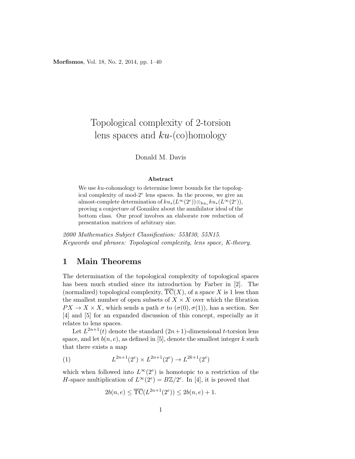Morfismos, Vol. 18, No. 2, 2014, pp. 1–40

# Topological complexity of 2-torsion lens spaces and  $ku$ -(co)homology

#### Donald M. Davis

#### Abstract

We use  $ku$ -cohomology to determine lower bounds for the topological complexity of mod- $2^e$  lens spaces. In the process, we give an almost-complete determination of  $ku_*(L^{\infty}(2^e))\otimes_{ku_*} ku_*(L^{\infty}(2^e)),$ proving a conjecture of Gonz´alez about the annihilator ideal of the bottom class. Our proof involves an elaborate row reduction of presentation matrices of arbitrary size.

2000 Mathematics Subject Classification: 55M30, 55N15. Keywords and phrases: Topological complexity, lens space, K-theory.

# 1 Main Theorems

The determination of the topological complexity of topological spaces has been much studied since its introduction by Farber in [2]. The (normalized) topological complexity,  $\overline{TC}(X)$ , of a space X is 1 less than the smallest number of open subsets of  $X \times X$  over which the fibration  $PX \to X \times X$ , which sends a path  $\sigma$  to  $(\sigma(0), \sigma(1))$ , has a section. See [4] and [5] for an expanded discussion of this concept, especially as it relates to lens spaces.

Let  $L^{2n+1}(t)$  denote the standard  $(2n+1)$ -dimensional t-torsion lens space, and let  $b(n, e)$ , as defined in [5], denote the smallest integer k such that there exists a map

(1) 
$$
L^{2n+1}(2^e) \times L^{2n+1}(2^e) \to L^{2k+1}(2^e)
$$

which when followed into  $L^{\infty}(2^e)$  is homotopic to a restriction of the H-space multiplication of  $L^{\infty}(2^e) = B\mathbb{Z}/2^e$ . In [4], it is proved that

$$
2b(n,e) \le \overline{\text{TC}}(L^{2n+1}(2^e)) \le 2b(n,e) + 1.
$$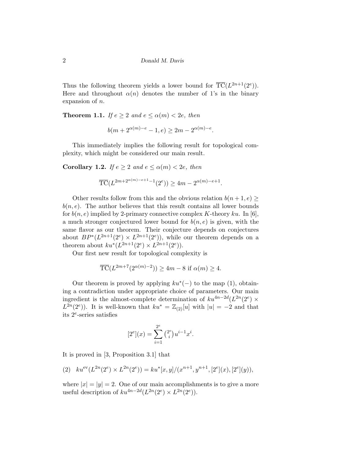Thus the following theorem yields a lower bound for  $\overline{TC}(L^{2n+1}(2^e)).$ Here and throughout  $\alpha(n)$  denotes the number of 1's in the binary expansion of n.

**Theorem 1.1.** If  $e \geq 2$  and  $e \leq \alpha(m) < 2e$ , then

$$
b(m + 2^{\alpha(m)-e} - 1, e) \ge 2m - 2^{\alpha(m)-e}.
$$

This immediately implies the following result for topological complexity, which might be considered our main result.

**Corollary 1.2.** If  $e \geq 2$  and  $e \leq \alpha(m) < 2e$ , then

$$
\overline{TC}(L^{2m+2^{\alpha(m)-e+1}-1}(2^e)) \ge 4m - 2^{\alpha(m)-e+1}.
$$

Other results follow from this and the obvious relation  $b(n+1, e)$  $b(n, e)$ . The author believes that this result contains all lower bounds for  $b(n, e)$  implied by 2-primary connective complex K-theory ku. In [6], a much stronger conjectured lower bound for  $b(n, e)$  is given, with the same flavor as our theorem. Their conjecture depends on conjectures about  $BP^*(L^{2n+1}(2^e) \times L^{2n+1}(2^e)),$  while our theorem depends on a theorem about  $ku^*(L^{2n+1}(2^e) \times L^{2n+1}(2^e)).$ 

Our first new result for topological complexity is

$$
\overline{TC}(L^{2m+7}(2^{\alpha(m)-2})) \ge 4m - 8
$$
 if  $\alpha(m) \ge 4$ .

Our theorem is proved by applying  $ku^*(-)$  to the map (1), obtaining a contradiction under appropriate choice of parameters. Our main ingredient is the almost-complete determination of  $ku^{4n-2d}(L^{2n}(2^e) \times$  $L^{2n}(2^e)$ ). It is well-known that  $ku^* = \mathbb{Z}_{(2)}[u]$  with  $|u| = -2$  and that its 2<sup>e</sup> -series satisfies

$$
[2^e](x) = \sum_{i=1}^{2^e} {2^e \choose i} u^{i-1} x^i.
$$

It is proved in [3, Proposition 3.1] that

$$
(2) \quad ku^{\text{ev}}(L^{2n}(2^e) \times L^{2n}(2^e)) = ku^*[x, y]/(x^{n+1}, y^{n+1}, [2^e](x), [2^e](y)),
$$

where  $|x| = |y| = 2$ . One of our main accomplishments is to give a more useful description of  $ku^{4n-2d}(L^{2n}(2^e) \times L^{2n}(2^e)).$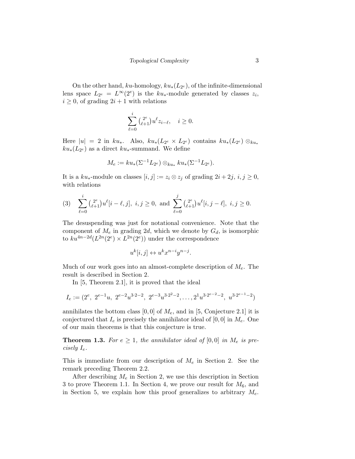On the other hand,  $ku$ -homology,  $ku_*(L_{2^e})$ , of the infinite-dimensional lens space  $L_{2^e} = L^{\infty}(2^e)$  is the  $ku_*$ -module generated by classes  $z_i$ ,  $i \geq 0$ , of grading  $2i + 1$  with relations

$$
\sum_{\ell=0}^i {2^e \choose \ell+1} u^{\ell} z_{i-\ell}, \quad i \ge 0.
$$

Here  $|u| = 2$  in  $ku_*$ . Also,  $ku_*(L_{2^e} \times L_{2^e})$  contains  $ku_*(L_{2^e}) \otimes_{ku_*}$  $ku_*(L_{2^e})$  as a direct  $ku_*$ -summand. We define

$$
M_e := ku_*(\Sigma^{-1} L_{2^e}) \otimes_{ku_*} ku_*(\Sigma^{-1} L_{2^e}).
$$

It is a  $ku_*$ -module on classes  $[i, j] := z_i \otimes z_j$  of grading  $2i + 2j, i, j \ge 0$ , with relations

(3) 
$$
\sum_{\ell=0}^i {2^e \choose \ell+1} u^{\ell}[i-\ell,j], i,j \ge 0, \text{ and } \sum_{\ell=0}^j {2^e \choose \ell+1} u^{\ell}[i,j-\ell], i,j \ge 0.
$$

The desuspending was just for notational convenience. Note that the component of  $M_e$  in grading 2d, which we denote by  $G_d$ , is isomorphic to  $ku^{4n-2d}(L^{2n}(2^e) \times L^{2n}(2^e))$  under the correspondence

$$
u^k[i,j] \leftrightarrow u^k x^{n-i} y^{n-j}.
$$

Much of our work goes into an almost-complete description of  $M_e$ . The result is described in Section 2.

In [5, Theorem 2.1], it is proved that the ideal

$$
I_e := (2^e, 2^{e-1}u, 2^{e-2}u^{3\cdot 2-2}, 2^{e-3}u^{3\cdot 2^2-2}, \dots, 2^1u^{3\cdot 2^{e-2}-2}, u^{3\cdot 2^{e-1}-2})
$$

annihilates the bottom class [0, 0] of  $M_e$ , and in [5, Conjecture 2.1] it is conjectured that  $I_e$  is precisely the annihilator ideal of  $[0, 0]$  in  $M_e$ . One of our main theorems is that this conjecture is true.

**Theorem 1.3.** For  $e \geq 1$ , the annihilator ideal of [0,0] in  $M_e$  is precisely  $I_e$ .

This is immediate from our description of  $M_e$  in Section 2. See the remark preceding Theorem 2.2.

After describing  $M_e$  in Section 2, we use this description in Section 3 to prove Theorem 1.1. In Section 4, we prove our result for  $M_6$ , and in Section 5, we explain how this proof generalizes to arbitrary  $M_e$ .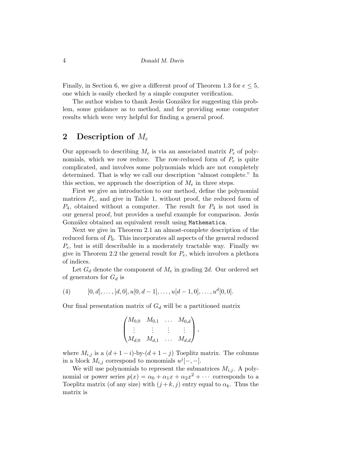Finally, in Section 6, we give a different proof of Theorem 1.3 for  $e \leq 5$ , one which is easily checked by a simple computer verification.

The author wishes to thank Jesús González for suggesting this problem, some guidance as to method, and for providing some computer results which were very helpful for finding a general proof.

### 2 Description of  $M_e$

Our approach to describing  $M_e$  is via an associated matrix  $P_e$  of polynomials, which we row reduce. The row-reduced form of  $P_e$  is quite complicated, and involves some polynomials which are not completely determined. That is why we call our description "almost complete." In this section, we approach the description of  $M_e$  in three steps.

First we give an introduction to our method, define the polynomial matrices  $P_e$ , and give in Table 1, without proof, the reduced form of  $P_4$ , obtained without a computer. The result for  $P_4$  is not used in our general proof, but provides a useful example for comparison. Jesús González obtained an equivalent result using Mathematica.

Next we give in Theorem 2.1 an almost-complete description of the reduced form of  $P_6$ . This incorporates all aspects of the general reduced  $P_e$ , but is still describable in a moderately tractable way. Finally we give in Theorem 2.2 the general result for  $P_e$ , which involves a plethora of indices.

Let  $G_d$  denote the component of  $M_e$  in grading 2d. Our ordered set of generators for  $G_d$  is

(4) 
$$
[0, d], \ldots, [d, 0], u[0, d-1], \ldots, u[d-1, 0], \ldots, u^d[0, 0].
$$

Our final presentation matrix of  $G_d$  will be a partitioned matrix

$$
\begin{pmatrix} M_{0,0} & M_{0,1} & \dots & M_{0,d} \\ \vdots & \vdots & \vdots & \vdots \\ M_{d,0} & M_{d,1} & \dots & M_{d,d} \end{pmatrix},
$$

where  $M_{i,j}$  is a  $(d+1-i)$ -by- $(d+1-j)$  Toeplitz matrix. The columns in a block  $M_{i,j}$  correspond to monomials  $u^{j}[-,-]$ .

We will use polynomials to represent the submatrices  $M_{i,j}$ . A polynomial or power series  $p(x) = \alpha_0 + \alpha_1 x + \alpha_2 x^2 + \cdots$  corresponds to a Toeplitz matrix (of any size) with  $(j + k, j)$  entry equal to  $\alpha_k$ . Thus the matrix is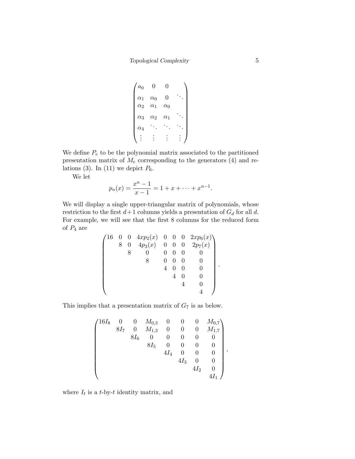$$
\begin{pmatrix} a_0 & 0 & 0 & \cdots \\ \alpha_1 & \alpha_0 & 0 & \cdots \\ \alpha_2 & \alpha_1 & \alpha_0 & \cdots \\ \alpha_3 & \alpha_2 & \alpha_1 & \cdots \\ \alpha_4 & \cdots & \cdots & \cdots \\ \vdots & \vdots & \vdots & \vdots & \vdots \end{pmatrix}
$$

We define  $P_e$  to be the polynomial matrix associated to the partitioned presentation matrix of  $M_e$  corresponding to the generators (4) and relations (3). In (11) we depict  $P_6$ .

We let

$$
p_n(x) = \frac{x^n - 1}{x - 1} = 1 + x + \dots + x^{n-1}.
$$

We will display a single upper-triangular matrix of polynomials, whose restriction to the first  $d+1$  columns yields a presentation of  $G_d$  for all d. For example, we will see that the first 8 columns for the reduced form of  $P_4$  are

$$
\begin{pmatrix}\n16 & 0 & 0 & 4xp_2(x) & 0 & 0 & 0 & 2xp_6(x) \\
8 & 0 & 4p_3(x) & 0 & 0 & 0 & 2p_7(x) \\
8 & 0 & 0 & 0 & 0 & 0 \\
8 & 0 & 0 & 0 & 0 & 0 \\
4 & 0 & 0 & 0 & 4 & 0 \\
4 & 0 & 0 & 4 & 0 \\
4 & 0 & 0 & 4 & 0\n\end{pmatrix}.
$$

This implies that a presentation matrix of  $G_7$  is as below.

$$
\begin{pmatrix}16I_8 & 0 & 0 & M_{0,3} & 0 & 0 & 0 & M_{0,7} \\ & 8I_7 & 0 & M_{1,3} & 0 & 0 & 0 & M_{1,7} \\ & & 8I_6 & 0 & 0 & 0 & 0 & 0 \\ & & & 8I_5 & 0 & 0 & 0 & 0 \\ & & & & 4I_4 & 0 & 0 & 0 \\ & & & & & 4I_3 & 0 & 0 \\ & & & & & 4I_2 & 0 \\ & & & & & & 4I_1\end{pmatrix},
$$

where  $I_t$  is a t-by-t identity matrix, and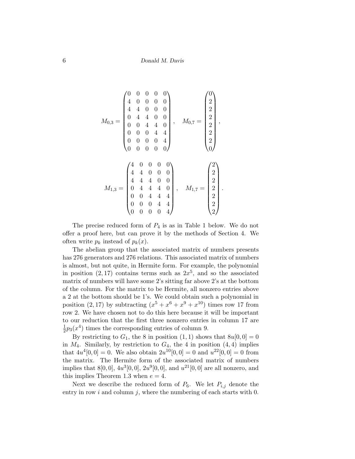$$
M_{0,3} = \begin{pmatrix} 0 & 0 & 0 & 0 & 0 \\ 4 & 0 & 0 & 0 & 0 \\ 4 & 4 & 0 & 0 & 0 \\ 0 & 4 & 4 & 0 & 0 \\ 0 & 0 & 4 & 4 & 0 \\ 0 & 0 & 0 & 4 & 4 \\ 0 & 0 & 0 & 0 & 4 \\ 0 & 0 & 0 & 0 & 0 \end{pmatrix}, \quad M_{0,7} = \begin{pmatrix} 0 \\ 2 \\ 2 \\ 2 \\ 2 \\ 2 \\ 0 \end{pmatrix},
$$

$$
M_{1,3} = \begin{pmatrix} 4 & 0 & 0 & 0 & 0 \\ 4 & 4 & 0 & 0 & 0 \\ 4 & 4 & 4 & 0 & 0 \\ 0 & 4 & 4 & 4 & 0 \\ 0 & 0 & 4 & 4 & 4 \\ 0 & 0 & 0 & 4 & 4 \\ 0 & 0 & 0 & 0 & 4 \end{pmatrix}, \quad M_{1,7} = \begin{pmatrix} 2 \\ 2 \\ 2 \\ 2 \\ 2 \\ 2 \\ 2 \end{pmatrix}.
$$

The precise reduced form of  $P_4$  is as in Table 1 below. We do not offer a proof here, but can prove it by the methods of Section 4. We often write  $p_k$  instead of  $p_k(x)$ .

The abelian group that the associated matrix of numbers presents has 276 generators and 276 relations. This associated matrix of numbers is almost, but not quite, in Hermite form. For example, the polynomial in position  $(2,17)$  contains terms such as  $2x^5$ , and so the associated matrix of numbers will have some 2's sitting far above 2's at the bottom of the column. For the matrix to be Hermite, all nonzero entries above a 2 at the bottom should be 1's. We could obtain such a polynomial in position  $(2, 17)$  by subtracting  $(x^5 + x^6 + x^9 + x^{10})$  times row 17 from row 2. We have chosen not to do this here because it will be important to our reduction that the first three nonzero entries in column 17 are 1  $\frac{1}{2}p_3(x^4)$  times the corresponding entries of column 9.

By restricting to  $G_1$ , the 8 in position  $(1,1)$  shows that  $8u[0,0] = 0$ in  $M_4$ . Similarly, by restriction to  $G_4$ , the 4 in position  $(4, 4)$  implies that  $4u^4[0,0] = 0$ . We also obtain  $2u^{10}[0,0] = 0$  and  $u^{22}[0,0] = 0$  from the matrix. The Hermite form of the associated matrix of numbers implies that  $8[0,0], 4u^3[0,0], 2u^9[0,0],$  and  $u^{21}[0,0]$  are all nonzero, and this implies Theorem 1.3 when  $e = 4$ .

Next we describe the reduced form of  $P_6$ . We let  $P_{i,j}$  denote the entry in row  $i$  and column  $j$ , where the numbering of each starts with 0.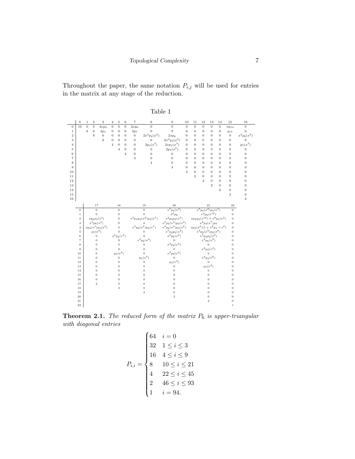Throughout the paper, the same notation  $P_{i,j}$  will be used for entries in the matrix at any stage of the reduction.

|                | $\boldsymbol{0}$ | $\mathbf{1}$ | $\sqrt{2}$       | 3                   | 4                | 5                | 6              | $\scriptstyle{7}$ | 8                        | 9                     | 10             | 11                        | 12               | 13                              | 14                                 | 15             | 16               |
|----------------|------------------|--------------|------------------|---------------------|------------------|------------------|----------------|-------------------|--------------------------|-----------------------|----------------|---------------------------|------------------|---------------------------------|------------------------------------|----------------|------------------|
| $\bf{0}$       | 16               | $\mathbf{0}$ | $\boldsymbol{0}$ | $4xp_2$             | $\boldsymbol{0}$ | $\mathbf{0}$     | $\overline{0}$ | $2xp_6$           | $\overline{0}$           | $\overline{0}$        | $\overline{0}$ | $\overline{0}$            | $\overline{0}$   | $\overline{0}$                  | $\mathbf{0}$                       | $xp_{14}$      | $\boldsymbol{0}$ |
| $\mathbf{1}$   |                  | 8            | $\mathbf{0}$     | $4p_3$              | $\boldsymbol{0}$ | $\bf{0}$         | $\theta$       | 2p <sub>7</sub>   | $\theta$                 | $\overline{0}$        | $\overline{0}$ | $\overline{0}$            | $\boldsymbol{0}$ | $\overline{0}$                  | $\boldsymbol{0}$                   | $p_{15}$       | $\mathbf{0}$     |
| $\overline{2}$ |                  |              | 8                | $\theta$            | $\sigma$         | $\overline{0}$   | $\overline{0}$ | $\mathbf{0}$      | $2x^2p_2(x^2)$           | $2xp_6$               | $\overline{0}$ | $\mathbf{0}$              | $\mathbf{0}$     | $\mathbf{0}$                    | $\overline{0}$                     | $\mathbf{0}$   | $x^2p_6(x^2)$    |
| 3              |                  |              |                  | 8                   | $\boldsymbol{0}$ | $\overline{0}$   | $\overline{0}$ | $\boldsymbol{0}$  | $\overline{0}$           | $2x^2p_2(x^2)$        | $\overline{0}$ | $\overline{0}$            | $\boldsymbol{0}$ | $\overline{0}$                  | $\boldsymbol{0}$                   | $\mathbf 0$    | $\overline{0}$   |
| $\overline{4}$ |                  |              |                  |                     | $\overline{4}$   | $\overline{0}$   | $\Omega$       | $\overline{0}$    | $2p_3(x^2)$              | $2xp_2(x^3)$          | $\Omega$       | $\overline{0}$            | $\boldsymbol{0}$ | $\overline{0}$                  | $\overline{0}$                     | $\mathbf 0$    | $p_7(x^2)$       |
| 5              |                  |              |                  |                     |                  | $\overline{4}$   | $\overline{0}$ | $\theta$          | $\overline{0}$           | $2p_3(x^2)$           | $\Omega$       | $\theta$                  | $\overline{0}$   | $\Omega$                        | $\theta$                           | 0              | $\boldsymbol{0}$ |
| 6              |                  |              |                  |                     |                  |                  | $\overline{4}$ | $\overline{0}$    | $\overline{0}$           | $\mathbf{0}$          | $\overline{0}$ | $\theta$                  | $\overline{0}$   | $\overline{0}$                  | $\theta$                           | $\overline{0}$ | $\overline{0}$   |
| $\overline{7}$ |                  |              |                  |                     |                  |                  |                | $\overline{4}$    | $\boldsymbol{0}$         | $\mathbf{0}$          | $\overline{0}$ | $\boldsymbol{0}$          | $\boldsymbol{0}$ | $\overline{0}$                  | $\boldsymbol{0}$                   | $\mathbf 0$    | $\mathbf{0}$     |
| 8              |                  |              |                  |                     |                  |                  |                |                   | $\overline{4}$           | $\overline{0}$        | $\Omega$       | $\overline{0}$            | $\boldsymbol{0}$ | $\overline{0}$                  | $\overline{0}$                     | $\mathbf 0$    | $\overline{0}$   |
| 9              |                  |              |                  |                     |                  |                  |                |                   |                          | $\overline{4}$        | $\overline{0}$ | $\theta$                  | $\mathbf{0}$     | $\overline{0}$                  | $\theta$                           | $\overline{0}$ | $\theta$         |
| 10             |                  |              |                  |                     |                  |                  |                |                   |                          |                       | $\overline{2}$ | $\overline{0}$            | $\mathbf{0}$     | $\overline{0}$                  | $\theta$                           | $\overline{0}$ | $\overline{0}$   |
| 11             |                  |              |                  |                     |                  |                  |                |                   |                          |                       |                | $\overline{2}$            | $\boldsymbol{0}$ | $\overline{0}$                  | $\overline{0}$                     | $\overline{0}$ | $\overline{0}$   |
| 12             |                  |              |                  |                     |                  |                  |                |                   |                          |                       |                |                           | $\overline{2}$   | $\overline{0}$                  | $\overline{0}$                     | $\overline{0}$ | $\overline{0}$   |
| 13             |                  |              |                  |                     |                  |                  |                |                   |                          |                       |                |                           |                  | $\overline{2}$                  | $\overline{0}$                     | $\overline{0}$ | $\overline{0}$   |
| 14             |                  |              |                  |                     |                  |                  |                |                   |                          |                       |                |                           |                  |                                 | $\overline{2}$                     | $\overline{0}$ | $\overline{0}$   |
| 15             |                  |              |                  |                     |                  |                  |                |                   |                          |                       |                |                           |                  |                                 |                                    | $\overline{2}$ | $\overline{0}$   |
| 16             |                  |              |                  |                     |                  |                  |                |                   |                          |                       |                |                           |                  |                                 |                                    |                | $\overline{2}$   |
|                |                  |              |                  | 17                  |                  | 18               |                |                   | 19                       | 20                    |                |                           |                  | 21                              |                                    | 22             |                  |
|                | $\theta$         |              |                  | $\overline{0}$      |                  | $\overline{0}$   |                |                   | $\overline{0}$           | $x^7p_4(x^2)$         |                |                           |                  | $x^{5}p_{2}(x^{2})p_{4}(x^{3})$ |                                    | $\overline{0}$ |                  |
|                | $\,1$            |              |                  | $\overline{0}$      |                  | $\overline{0}$   |                |                   | $\overline{0}$           | $x^6p_8$              |                |                           |                  | $x^4p_2(x^{12})$                |                                    | $\bf{0}$       |                  |
|                | $\,2\,$          |              |                  | $x p_6 p_3(x^4)$    |                  | $\mathbf{0}$     |                |                   | $x^3p_3p_2(x^2)p_2(x^7)$ | $x^4p_4p_2(x^7)$      |                |                           |                  |                                 | $x p_2 p_2(x^{16}) + x^8 p_2(x^3)$ | $\mathbf{0}$   |                  |
|                | 3                |              |                  | $x^2p_6(x^2)$       |                  | $\overline{0}$   |                |                   | $\theta$                 | $x^5p_2(x^3)p_2(x^4)$ |                |                           |                  | $x^4p_2(x^7)p_4$                |                                    | $\overline{0}$ |                  |
|                | $\overline{4}$   |              |                  | $xp_2(x^3)p_3(x^4)$ |                  | $\mathbf{0}$     |                |                   | $x^3p_2(x^2)p_2(x^7)$    | $x^4p_2(x^2)p_2(x^6)$ |                | $xp_2(x^9)(1+x^2p_3+x^6)$ |                  |                                 |                                    | $\mathbf 0$    |                  |
|                | $\rm 5$          |              |                  | $p_7(x^2)$          |                  | $\overline{0}$   |                |                   | $\overline{0}$           | $x^5 p_2 p_2(x^4)$    |                |                           |                  | $x^4p_2(x^2)p_2(x^6)$           |                                    | $\overline{0}$ |                  |
|                | $\,$ 6 $\,$      |              |                  | $\mathbf 0$         |                  | $x^4p_2(x^4)$    |                |                   | $\mathbf 0$              | $x^2p_6(x^2)$         |                |                           |                  | $x^{5} p_{2} p_{2}(x^{4})$      |                                    | $\overline{0}$ |                  |
|                | $\overline{7}$   |              |                  | $\overline{0}$      |                  | $\overline{0}$   |                |                   | $x^4p_2(x^4)$            | $\mathbf{0}$          |                |                           |                  | $x^2p_6(x^2)$                   |                                    | $\overline{0}$ |                  |
|                | 8                |              |                  | $\overline{0}$      |                  | $\mathbf{0}$     |                |                   | $\mathbf 0$              | $x^4p_2(x^4)$         |                |                           |                  | $\overline{0}$                  |                                    | $\overline{0}$ |                  |
|                | 9                |              |                  | $\overline{0}$      |                  | $\overline{0}$   |                |                   | $\mathbf 0$              | $\overline{0}$        |                |                           |                  | $x^4p_2(x^4)$                   |                                    | $\overline{0}$ |                  |
|                | 10               |              |                  | $\overline{0}$      |                  | $p_3(x^4)$       |                |                   | $\overline{0}$           | $x^2 p_2(x^6)$        |                |                           |                  | $\Omega$                        |                                    | $\overline{0}$ |                  |
|                | $11\,$           |              |                  | $\overline{0}$      |                  | $\boldsymbol{0}$ |                |                   | $p_3(x^4)$               | $\overline{0}$        |                |                           |                  | $x^2p_2(x^6)$                   |                                    | $\overline{0}$ |                  |
|                | $12\,$           |              |                  | $\overline{0}$      |                  | $\mathbf{0}$     |                |                   | $\mathbf 0$              | $p_3(x^4)$            |                |                           |                  | $\overline{0}$                  |                                    | $\mathbf 0$    |                  |
|                | 13               |              |                  | $\overline{0}$      |                  | $\overline{0}$   |                |                   | $\overline{0}$           | $\boldsymbol{0}$      |                |                           |                  | $p_3(x^4)$                      |                                    | $\overline{0}$ |                  |
|                | 14               |              |                  | $\overline{0}$      |                  | $\overline{0}$   |                |                   | $\bf{0}$                 | $\bf{0}$              |                |                           |                  | $\bf{0}$                        |                                    | $\mathbf 0$    |                  |
|                | $15\,$           |              |                  | $\overline{0}$      |                  | $\overline{0}$   |                |                   | $\overline{0}$           | $\overline{0}$        |                |                           |                  | $\overline{0}$                  |                                    | $\mathbf 0$    |                  |
|                | 16               |              |                  | $\overline{0}$      |                  | $\overline{0}$   |                |                   | $\bf{0}$                 | $\overline{0}$        |                |                           |                  | $\overline{0}$                  |                                    | $\overline{0}$ |                  |
|                | 17               |              |                  | $\overline{2}$      |                  | $\mathbf{0}$     |                |                   | $\bf{0}$                 | $\overline{0}$        |                |                           |                  | $\overline{0}$                  |                                    | $\mathbf 0$    |                  |
|                | 18               |              |                  |                     |                  | $\overline{2}$   |                |                   | $\boldsymbol{0}$         | $\overline{0}$        |                |                           |                  | $\overline{0}$                  |                                    | $\overline{0}$ |                  |
|                | 19               |              |                  |                     |                  |                  |                |                   | $\overline{2}$           | $\bf{0}$              |                |                           |                  | $\overline{0}$                  |                                    | $\mathbf{0}$   |                  |
|                | 20               |              |                  |                     |                  |                  |                |                   |                          | $\,2\,$               |                |                           |                  | 0                               |                                    | $\mathbf{0}$   |                  |
|                | 21               |              |                  |                     |                  |                  |                |                   |                          |                       |                |                           |                  | $\overline{2}$                  |                                    | $\mathbf{0}$   |                  |
|                | 22               |              |                  |                     |                  |                  |                |                   |                          |                       |                |                           |                  |                                 |                                    | $\,1\,$        |                  |

Table 1

**Theorem 2.1.** The reduced form of the matrix  $P_6$  is upper-triangular with diagonal entries

$$
P_{i,i} = \begin{cases} 64 & i = 0 \\ 32 & 1 \le i \le 3 \\ 16 & 4 \le i \le 9 \\ 8 & 10 \le i \le 21 \\ 4 & 22 \le i \le 45 \\ 2 & 46 \le i \le 93 \\ 1 & i = 94. \end{cases}
$$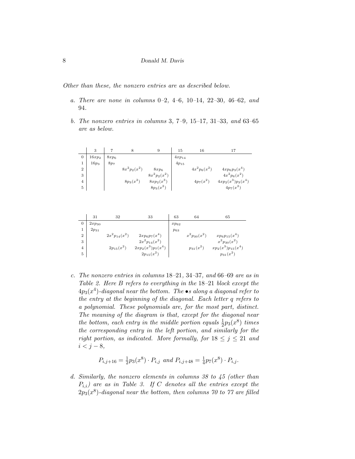Other than these, the nonzero entries are as described below.

- a. There are none in columns 0–2, 4–6, 10–14, 22–30, 46–62, and 94.
- b. The nonzero entries in columns 3, 7–9, 15–17, 31–33, and 63–65 are as below.

|                | 3        |                 | 8              | 9              | 15         | 16             |                      |
|----------------|----------|-----------------|----------------|----------------|------------|----------------|----------------------|
| $\overline{0}$ | $16xp_2$ | $8xp_6$         |                |                | $4xp_{14}$ |                |                      |
|                | $16p_3$  | 8p <sub>7</sub> |                |                | $4p_{15}$  |                |                      |
| $\overline{2}$ |          |                 | $8x^2p_2(x^2)$ | $8xp_6$        |            | $4x^2p_6(x^2)$ | $4xp_6p_3(x^4)$      |
| 3              |          |                 |                | $8x^2p_2(x^2)$ |            |                | $4x^2p_6(x^2)$       |
| $\overline{4}$ |          |                 | $8p_3(x^2)$    | $8xp_2(x^3)$   |            | $4p_7(x^2)$    | $4xp_2(x^3)p_3(x^4)$ |
| 5              |          |                 |                | $8p_3(x^2)$    |            |                | $4p_7(x^2)$          |

|                | 31         | 32                | 33                     | 63        | 64               | 65                     |
|----------------|------------|-------------------|------------------------|-----------|------------------|------------------------|
| $\overline{0}$ | $2xp_{30}$ |                   |                        | $xp_{62}$ |                  |                        |
|                | $2p_{31}$  |                   |                        | $p_{63}$  |                  |                        |
| $\overline{2}$ |            | $2x^2p_{14}(x^2)$ | $2xp_6p_7(x^4)$        |           | $x^2p_{30}(x^2)$ | $x p_6 p_{15}(x^4)$    |
| 3              |            |                   | $2x^2p_{14}(x^2)$      |           |                  | $x^2p_{30}(x^2)$       |
| $\overline{4}$ |            | $2p_{15}(x^2)$    | $(2xp_2(x^3)p_7(x^4))$ |           | $p_{31}(x^2)$    | $xp_2(x^3)p_{15}(x^4)$ |
| 5              |            |                   | $2p_{15}(x^2)$         |           |                  | $p_{31}(x^2)$          |

c. The nonzero entries in columns 18–21, 34–37, and 66–69 are as in Table 2. Here B refers to everything in the 18–21 block except the  $4p_3(x^4)$ -diagonal near the bottom. The  $\bullet$ s along a diagonal refer to the entry at the beginning of the diagonal. Each letter q refers to a polynomial. These polynomials are, for the most part, distinct. The meaning of the diagram is that, except for the diagonal near the bottom, each entry in the middle portion equals  $\frac{1}{2}p_3(x^8)$  times the corresponding entry in the left portion, and similarly for the right portion, as indicated. More formally, for  $18 \le j \le 21$  and  $i < j - 8$ ,

$$
P_{i,j+16} = \frac{1}{2}p_3(x^8) \cdot P_{i,j} \text{ and } P_{i,j+48} = \frac{1}{4}p_7(x^8) \cdot P_{i,j}.
$$

d. Similarly, the nonzero elements in columns 38 to 45 (other than  $P_{i,i}$ ) are as in Table 3. If C denotes all the entries except the  $2p_3(x^8)$ -diagonal near the bottom, then columns 70 to 77 are filled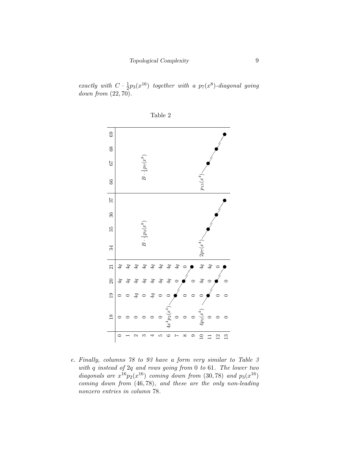exactly with  $C \cdot \frac{1}{2}$  $\frac{1}{2}p_3(x^{16})$  together with a  $p_7(x^8)$ -diagonal going down from (22, 70).





e. Finally, columns 78 to 93 have a form very similar to Table 3 with q instead of 2q and rows going from 0 to 61. The lower two diagonals are  $x^{16}p_2(x^{16})$  coming down from (30,78) and  $p_3(x^{16})$ coming down from (46, 78), and these are the only non-leading nonzero entries in column 78.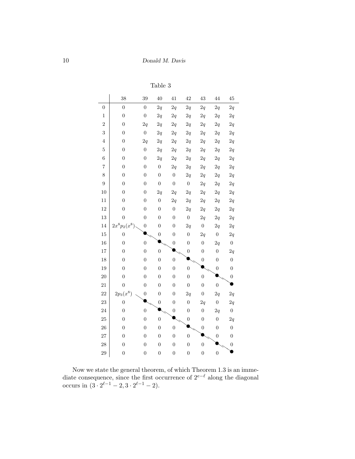Table 3

|                  | 38               | 39               | 40               | 41               | 42               | 43               | 44               | 45               |
|------------------|------------------|------------------|------------------|------------------|------------------|------------------|------------------|------------------|
| $\boldsymbol{0}$ | $\overline{0}$   | $\overline{0}$   | 2q               | 2q               | 2q               | 2q               | 2q               | 2q               |
| $\mathbf{1}$     | $\boldsymbol{0}$ | $\overline{0}$   | 2q               | 2q               | 2q               | 2q               | 2q               | 2q               |
| $\sqrt{2}$       | $\boldsymbol{0}$ | 2q               | 2q               | 2q               | 2q               | 2q               | 2q               | 2q               |
| 3                | $\boldsymbol{0}$ | $\overline{0}$   | $2\mathfrak{q}$  | 2q               | 2q               | $2\mathfrak{q}$  | $2\mathfrak{q}$  | 2q               |
| $\overline{4}$   | $\boldsymbol{0}$ | 2q               | $2\mathfrak{q}$  | 2q               | 2q               | 2q               | 2q               | 2q               |
| $\overline{5}$   | $\overline{0}$   | $\overline{0}$   | 2q               | 2q               | 2q               | 2q               | 2q               | 2q               |
| $\overline{6}$   | $\boldsymbol{0}$ | $\overline{0}$   | 2q               | 2q               | 2q               | 2q               | 2q               | 2q               |
| $\overline{7}$   | $\boldsymbol{0}$ | $\boldsymbol{0}$ | $\boldsymbol{0}$ | 2q               | 2q               | 2q               | 2q               | 2q               |
| 8                | $\boldsymbol{0}$ | $\boldsymbol{0}$ | $\boldsymbol{0}$ | $\boldsymbol{0}$ | 2q               | 2q               | 2q               | 2q               |
| $\boldsymbol{9}$ | $\boldsymbol{0}$ | $\boldsymbol{0}$ | $\boldsymbol{0}$ | $\boldsymbol{0}$ | $\boldsymbol{0}$ | 2q               | 2q               | $2\mathfrak{q}$  |
| 10               | $\boldsymbol{0}$ | $\boldsymbol{0}$ | 2q               | 2q               | 2q               | 2q               | 2q               | 2q               |
| 11               | $\overline{0}$   | $\overline{0}$   | $\boldsymbol{0}$ | 2q               | $2\mathfrak{q}$  | $2\mathfrak{q}$  | 2q               | 2q               |
| 12               | $\boldsymbol{0}$ | $\boldsymbol{0}$ | $\boldsymbol{0}$ | $\boldsymbol{0}$ | $2\sqrt{q}$      | 2q               | 2q               | 2q               |
| 13               | $\overline{0}$   | $\overline{0}$   | $\overline{0}$   | $\boldsymbol{0}$ | $\boldsymbol{0}$ | 2q               | 2q               | $2\mathfrak{q}$  |
| 14               | $2x^8p_2(x^8)$   | $\overline{0}$   | $\overline{0}$   | $\boldsymbol{0}$ | 2q               | $\overline{0}$   | 2q               | 2q               |
| 15               | $\boldsymbol{0}$ |                  | $\boldsymbol{0}$ | $\overline{0}$   | $\overline{0}$   | 2q               | $\boldsymbol{0}$ | 2q               |
| 16               | $\overline{0}$   | $\overline{0}$   |                  | $\boldsymbol{0}$ | $\overline{0}$   | $\boldsymbol{0}$ | 2q               | $\boldsymbol{0}$ |
| 17               | $\boldsymbol{0}$ | $\boldsymbol{0}$ | $\boldsymbol{0}$ |                  | $\boldsymbol{0}$ | $\boldsymbol{0}$ | $\boldsymbol{0}$ | 2q               |
| 18               | $\boldsymbol{0}$ | $\boldsymbol{0}$ | $\overline{0}$   | $\overline{0}$   |                  | $\boldsymbol{0}$ | $\overline{0}$   | $\boldsymbol{0}$ |
| 19               | $\overline{0}$   | $\overline{0}$   | $\boldsymbol{0}$ | $\overline{0}$   | $\overline{0}$   |                  | $\boldsymbol{0}$ | $\overline{0}$   |
| 20               | $\boldsymbol{0}$ | $\overline{0}$   | $\overline{0}$   | $\overline{0}$   | $\overline{0}$   | $\overline{0}$   |                  | $\boldsymbol{0}$ |
| 21               | $\overline{0}$   | $\overline{0}$   | $\overline{0}$   | $\overline{0}$   | $\overline{0}$   | $\overline{0}$   | $\overline{0}$   |                  |
| 22               | $2p_3(x^8)$      | $\boldsymbol{0}$ | $\boldsymbol{0}$ | $\overline{0}$   | 2q               | $\boldsymbol{0}$ | 2q               | 2q               |
| 23               | $\overline{0}$   |                  | $\boldsymbol{0}$ | $\boldsymbol{0}$ | $\boldsymbol{0}$ | 2q               | $\boldsymbol{0}$ | 2q               |
| 24               | $\boldsymbol{0}$ | $\overline{0}$   |                  | $\boldsymbol{0}$ | $\boldsymbol{0}$ | $\boldsymbol{0}$ | 2q               | $\boldsymbol{0}$ |
| 25               | $\boldsymbol{0}$ | $\overline{0}$   | $\overline{0}$   |                  | $\boldsymbol{0}$ | $\overline{0}$   | $\boldsymbol{0}$ | 2q               |
| 26               | $\overline{0}$   | $\boldsymbol{0}$ | $\boldsymbol{0}$ | $\overline{0}$   |                  | $\boldsymbol{0}$ | $\overline{0}$   | $\overline{0}$   |
| 27               | $\boldsymbol{0}$ | $\overline{0}$   | $\boldsymbol{0}$ | $\overline{0}$   | $\boldsymbol{0}$ |                  | $\boldsymbol{0}$ | $\boldsymbol{0}$ |
| 28               | $\boldsymbol{0}$ | $\boldsymbol{0}$ | $\overline{0}$   | $\overline{0}$   | $\boldsymbol{0}$ | $\overline{0}$   |                  | $\boldsymbol{0}$ |
| 29               | $\overline{0}$   | $\overline{0}$   | $\boldsymbol{0}$ | $\overline{0}$   | $\boldsymbol{0}$ | $\boldsymbol{0}$ | $\overline{0}$   |                  |

Now we state the general theorem, of which Theorem 1.3 is an immediate consequence, since the first occurrence of  $2^{e-\ell}$  along the diagonal occurs in  $(3 \cdot 2^{\ell-1} - 2, 3 \cdot 2^{\ell-1} - 2).$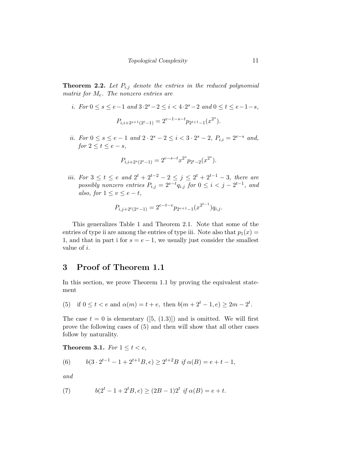**Theorem 2.2.** Let  $P_{i,j}$  denote the entries in the reduced polynomial matrix for  $M_e$ . The nonzero entries are

i. For  $0 \le s \le e-1$  and  $3 \cdot 2^s - 2 \le i < 4 \cdot 2^s - 2$  and  $0 \le t \le e-1-s$ ,

$$
P_{i,i+2^{s+1}(2^t-1)} = 2^{e-1-s-t} p_{2^{t+1}-1}(x^{2^s}).
$$

*ii.* For  $0 \le s \le e-1$  and  $2 \cdot 2^{s} - 2 \le i < 3 \cdot 2^{s} - 2$ ,  $P_{i,i} = 2^{e-s}$  and, for  $2 \leq t \leq e - s$ ,

$$
P_{i,i+2^s(2^t-1)} = 2^{e-s-t} x^{2^s} p_{2^t-2}(x^{2^s}).
$$

*iii.* For  $3 \le t \le e$  and  $2^t + 2^{t-2} - 2 \le j \le 2^t + 2^{t-1} - 3$ , there are possibly nonzero entries  $P_{i,j} = 2^{e-t} q_{i,j}$  for  $0 \le i < j - 2^{t-1}$ , and also, for  $1 \le v \le e - t$ ,

$$
P_{i,j+2^t(2^v-1)} = 2^{e-t-v} p_{2^{v+1}-1}(x^{2^{t-1}}) q_{i,j}.
$$

This generalizes Table 1 and Theorem 2.1. Note that some of the entries of type ii are among the entries of type iii. Note also that  $p_1(x) =$ 1, and that in part i for  $s = e - 1$ , we usually just consider the smallest value of i.

# 3 Proof of Theorem 1.1

In this section, we prove Theorem 1.1 by proving the equivalent statement

(5) if 
$$
0 \le t < e
$$
 and  $\alpha(m) = t + e$ , then  $b(m + 2^t - 1, e) \ge 2m - 2^t$ .

The case  $t = 0$  is elementary ([5, (1.3)]) and is omitted. We will first prove the following cases of (5) and then will show that all other cases follow by naturality.

Theorem 3.1. For  $1 \leq t < e$ ,

(6) 
$$
b(3 \cdot 2^{t-1} - 1 + 2^{t+1}B, e) \ge 2^{t+2}B \text{ if } \alpha(B) = e + t - 1,
$$

and

(7) 
$$
b(2^t - 1 + 2^t B, e) \ge (2B - 1)2^t \text{ if } \alpha(B) = e + t.
$$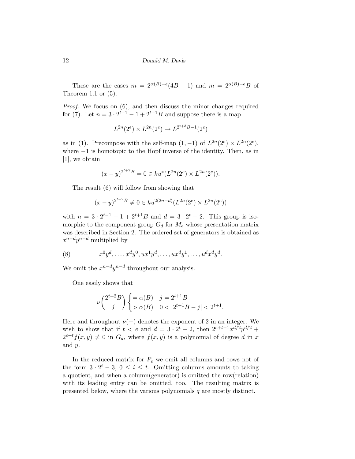These are the cases  $m = 2^{\alpha(B)-e}(4B+1)$  and  $m = 2^{\alpha(B)-e}B$  of Theorem 1.1 or  $(5)$ .

Proof. We focus on (6), and then discuss the minor changes required for (7). Let  $n = 3 \cdot 2^{t-1} - 1 + 2^{t+1}B$  and suppose there is a map

$$
L^{2n}(2^e) \times L^{2n}(2^e) \to L^{2^{t+3}B-1}(2^e)
$$

as in (1). Precompose with the self-map  $(1, -1)$  of  $L^{2n}(2^e) \times L^{2n}(2^e)$ , where −1 is homotopic to the Hopf inverse of the identity. Then, as in [1], we obtain

$$
(x - y)^{2^{t+2}B} = 0 \in ku^*(L^{2n}(2^e) \times L^{2n}(2^e)).
$$

The result (6) will follow from showing that

$$
(x - y)^{2^{t+2}B} \neq 0 \in ku^{2(2n - d)}(L^{2n}(2^e) \times L^{2n}(2^e))
$$

with  $n = 3 \cdot 2^{t-1} - 1 + 2^{t+1}B$  and  $d = 3 \cdot 2^t - 2$ . This group is isomorphic to the component group  $G_d$  for  $M_e$  whose presentation matrix was described in Section 2. The ordered set of generators is obtained as  $x^{n-d}y^{n-d}$  multiplied by

(8) 
$$
x^0 y^d, \dots, x^d y^0, u x^1 y^d, \dots, u x^d y^1, \dots, u^d x^d y^d.
$$

We omit the  $x^{n-d}y^{n-d}$  throughout our analysis.

One easily shows that

$$
\nu \binom{2^{t+2}B}{j} \begin{cases} = \alpha(B) & j = 2^{t+1}B \\ > \alpha(B) & 0 < |2^{t+1}B - j| < 2^{t+1} \end{cases}
$$

.

Here and throughout  $\nu(-)$  denotes the exponent of 2 in an integer. We wish to show that if  $t < e$  and  $d = 3 \cdot 2^t - 2$ , then  $2^{e+t-1}x^{d/2}y^{d/2} +$  $2^{e+t}f(x,y) \neq 0$  in  $G_d$ , where  $f(x,y)$  is a polynomial of degree d in x and y.

In the reduced matrix for  $P_e$  we omit all columns and rows not of the form  $3 \cdot 2^i - 3$ ,  $0 \le i \le t$ . Omitting columns amounts to taking a quotient, and when a column(generator) is omitted the row(relation) with its leading entry can be omitted, too. The resulting matrix is presented below, where the various polynomials q are mostly distinct.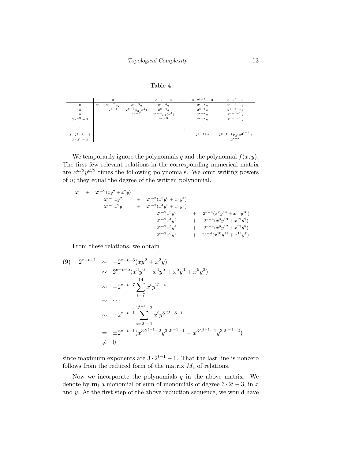



We temporarily ignore the polynomials q and the polynomial  $f(x, y)$ . The first few relevant relations in the corresponding numerical matrix are  $x^{d/2}y^{d/2}$  times the following polynomials. We omit writing powers of u; they equal the degree of the written polynomial.

2 <sup>e</sup> + 2e−<sup>2</sup> (xy<sup>2</sup> + x <sup>2</sup>y) 2 <sup>e</sup>−1xy<sup>2</sup> + 2e−<sup>3</sup> (x 3y <sup>6</sup> + x 5y 4 ) 2 <sup>e</sup>−1x <sup>2</sup>y + 2e−<sup>3</sup> (x 4y <sup>5</sup> + x 6y 3 ) 2 <sup>e</sup>−2x 3y <sup>6</sup> + 2e−<sup>4</sup> (x 7y <sup>14</sup> + x <sup>11</sup>y <sup>10</sup>) 2 <sup>e</sup>−2x 4y <sup>5</sup> + 2e−<sup>4</sup> (x 8y <sup>13</sup> + x <sup>12</sup>y 9 ) 2 <sup>e</sup>−2x 5y <sup>4</sup> + 2e−<sup>4</sup> (x 9y <sup>12</sup> + x <sup>13</sup>y 8 ) 2 <sup>e</sup>−2x 6y <sup>3</sup> + 2e−<sup>4</sup> (x <sup>10</sup>y <sup>11</sup> + x <sup>14</sup>y 7 ).

From these relations, we obtain

$$
(9) \quad 2^{e+t-1} \sim -2^{e+t-3}(xy^2 + x^2y)
$$
  
\n
$$
\sim 2^{e+t-5}(x^3y^6 + x^4y^5 + x^5y^4 + x^6y^3)
$$
  
\n
$$
\sim -2^{e+t-7} \sum_{i=7}^{14} x^i y^{21-i}
$$
  
\n
$$
\sim \dots
$$
  
\n
$$
\sim \pm 2^{e-t-1} \sum_{i=2^t-1}^{2^{t+1}-2} x^i y^{3 \cdot 2^t - 3 - i}
$$
  
\n
$$
= \pm 2^{e-t-1} (x^{3 \cdot 2^{t-1}-2}y^{3 \cdot 2^{t-1}-1} + x^{3 \cdot 2^{t-1}-1}y^{3 \cdot 2^{t-1}-2})
$$
  
\n
$$
\neq 0,
$$

since maximum exponents are  $3 \cdot 2^{t-1} - 1$ . That the last line is nonzero follows from the reduced form of the matrix  $M_e$  of relations.

Now we incorporate the polynomials  $q$  in the above matrix. We denote by  $\mathbf{m}_i$  a monomial or sum of monomials of degree  $3 \cdot 2^i - 3$ , in x and  $y$ . At the first step of the above reduction sequence, we would have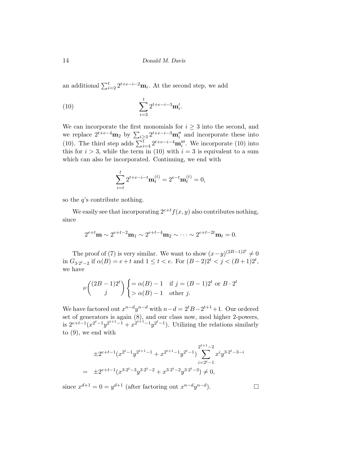an additional  $\sum_{i=2}^{t} 2^{t+e-i-2} \mathbf{m}_i$ . At the second step, we add

(10) 
$$
\sum_{i=3}^{t} 2^{t+e-i-3} \mathbf{m}'_i.
$$

We can incorporate the first monomials for  $i \geq 3$  into the second, and we replace  $2^{t+e-4}$ **m**<sub>2</sub> by  $\sum_{i\geq 3} 2^{t+e-i-3}$ **m**<sup>n</sup><sub>i</sub><sup>n</sup> and incorporate these into (10). The third step adds  $\sum_{i=4}^{t} 2^{t+e-i-4} \mathbf{m}''_i$ . We incorporate (10) into this for  $i > 3$ , while the term in (10) with  $i = 3$  is equivalent to a sum which can also be incorporated. Continuing, we end with

$$
\sum_{i=t}^{t} 2^{t+e-i-t} \mathbf{m}_t^{(t)} = 2^{e-t} \mathbf{m}_t^{(t)} = 0,
$$

so the  $q$ 's contribute nothing.

We easily see that incorporating  $2^{e+t}f(x, y)$  also contributes nothing, since

$$
2^{e+t} \mathbf{m} \sim 2^{e+t-2} \mathbf{m}_1 \sim 2^{e+t-4} \mathbf{m}_2 \sim \cdots \sim 2^{e+t-2t} \mathbf{m}_t = 0.
$$

The proof of (7) is very similar. We want to show  $(x-y)^{(2B-1)2^t} \neq 0$ in  $G_{3 \cdot 2^t - 2}$  if  $\alpha(B) = e + t$  and  $1 \le t < e$ . For  $(B - 2)2^t < j < (B + 1)2^t$ , we have

$$
\nu\binom{(2B-1)2^t}{j} \begin{cases} = \alpha(B) - 1 & \text{if } j = (B-1)2^t \text{ or } B \cdot 2^t \\ > \alpha(B) - 1 & \text{other } j. \end{cases}
$$

We have factored out  $x^{n-d}y^{n-d}$  with  $n-d=2^tB-2^{t+1}+1$ . Our ordered set of generators is again (8), and our class now, mod higher 2-powers, is  $2^{e+t-1}(x^{2^t-1}y^{2^{t+1}-1}+x^{2^{t+1}-1}y^{2^t-1})$ . Utilizing the relations similarly to (9), we end with

$$
\pm 2^{e+t-1} (x^{2^t-1}y^{2^{t+1}-1} + x^{2^{t+1}-1}y^{2^t-1}) \sum_{i=2^t-1}^{2^{t+1}-2} x^i y^{3 \cdot 2^t - 3 - i}
$$
  
= 
$$
\pm 2^{e+t-1} (x^{3 \cdot 2^t - 3}y^{3 \cdot 2^t - 2} + x^{3 \cdot 2^t - 2}y^{3 \cdot 2^t - 3}) \neq 0,
$$

since  $x^{d+1} = 0 = y^{d+1}$  (after factoring out  $x^{n-d}y^{n-d}$  $\Box$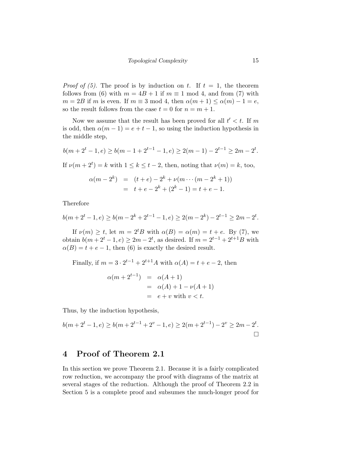*Proof of (5)*. The proof is by induction on t. If  $t = 1$ , the theorem follows from (6) with  $m = 4B + 1$  if  $m \equiv 1 \mod 4$ , and from (7) with  $m = 2B$  if m is even. If  $m \equiv 3 \mod 4$ , then  $\alpha(m+1) \leq \alpha(m) - 1 = e$ , so the result follows from the case  $t = 0$  for  $n = m + 1$ .

Now we assume that the result has been proved for all  $t' < t$ . If m is odd, then  $\alpha(m-1) = e + t - 1$ , so using the induction hypothesis in the middle step,

$$
b(m+2^t-1, e) \ge b(m-1+2^{t-1}-1, e) \ge 2(m-1) - 2^{t-1} \ge 2m - 2^t.
$$

If  $\nu(m+2^t) = k$  with  $1 \leq k \leq t-2$ , then, noting that  $\nu(m) = k$ , too,

$$
\alpha(m - 2^{k}) = (t + e) - 2^{k} + \nu(m \cdots (m - 2^{k} + 1))
$$
  
= t + e - 2^{k} + (2^{k} - 1) = t + e - 1.

Therefore

$$
b(m+2^t-1, e) \ge b(m-2^k+2^{t-1}-1, e) \ge 2(m-2^k)-2^{t-1} \ge 2m-2^t.
$$

If  $\nu(m) \geq t$ , let  $m = 2^t B$  with  $\alpha(B) = \alpha(m) = t + e$ . By (7), we obtain  $b(m+2^t-1, e) \ge 2m-2^t$ , as desired. If  $m = 2^{t-1} + 2^{t+1}B$  with  $\alpha(B) = t + e - 1$ , then (6) is exactly the desired result.

Finally, if  $m = 3 \cdot 2^{t-1} + 2^{t+1}A$  with  $\alpha(A) = t + e - 2$ , then

$$
\alpha(m + 2^{t-1}) = \alpha(A + 1)
$$
  
=  $\alpha(A) + 1 - \nu(A + 1)$   
=  $e + v$  with  $v < t$ .

Thus, by the induction hypothesis,

$$
b(m+2^{t}-1, e) \ge b(m+2^{t-1}+2^{v}-1, e) \ge 2(m+2^{t-1})-2^{v} \ge 2m-2^{t}.
$$

#### 4 Proof of Theorem 2.1

In this section we prove Theorem 2.1. Because it is a fairly complicated row reduction, we accompany the proof with diagrams of the matrix at several stages of the reduction. Although the proof of Theorem 2.2 in Section 5 is a complete proof and subsumes the much-longer proof for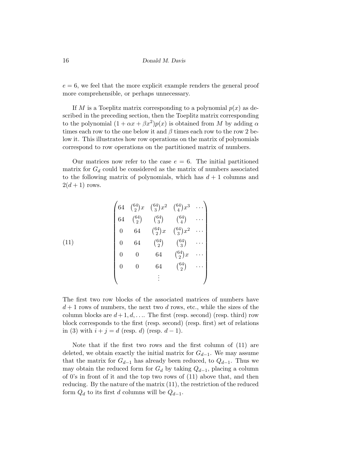$e = 6$ , we feel that the more explicit example renders the general proof more comprehensible, or perhaps unnecessary.

If M is a Toeplitz matrix corresponding to a polynomial  $p(x)$  as described in the preceding section, then the Toeplitz matrix corresponding to the polynomial  $(1 + \alpha x + \beta x^2)p(x)$  is obtained from M by adding  $\alpha$ times each row to the one below it and  $\beta$  times each row to the row 2 below it. This illustrates how row operations on the matrix of polynomials correspond to row operations on the partitioned matrix of numbers.

Our matrices now refer to the case  $e = 6$ . The initial partitioned matrix for  $G_d$  could be considered as the matrix of numbers associated to the following matrix of polynomials, which has  $d+1$  columns and  $2(d+1)$  rows.

$$
(11)
$$
\n
$$
\begin{pmatrix}\n64 & \binom{64}{2}x & \binom{64}{3}x^2 & \binom{64}{4}x^3 & \cdots \\
64 & \binom{64}{2} & \binom{64}{3} & \binom{64}{4} & \cdots \\
0 & 64 & \binom{64}{2}x & \binom{64}{3}x^2 & \cdots \\
0 & 64 & \binom{64}{2} & \binom{64}{3} & \cdots \\
0 & 0 & 64 & \binom{64}{2}x & \cdots \\
0 & 0 & 64 & \binom{64}{2}x & \cdots \\
\vdots & \vdots & \ddots & \ddots & \ddots\n\end{pmatrix}
$$

The first two row blocks of the associated matrices of numbers have  $d+1$  rows of numbers, the next two d rows, etc., while the sizes of the column blocks are  $d+1, d, \ldots$  The first (resp. second) (resp. third) row block corresponds to the first (resp. second) (resp. first) set of relations in (3) with  $i + j = d$  (resp. d) (resp.  $d - 1$ ).

Note that if the first two rows and the first column of (11) are deleted, we obtain exactly the initial matrix for  $G_{d-1}$ . We may assume that the matrix for  $G_{d-1}$  has already been reduced, to  $Q_{d-1}$ . Thus we may obtain the reduced form for  $G_d$  by taking  $Q_{d-1}$ , placing a column of 0's in front of it and the top two rows of (11) above that, and then reducing. By the nature of the matrix (11), the restriction of the reduced form  $Q_d$  to its first d columns will be  $Q_{d-1}$ .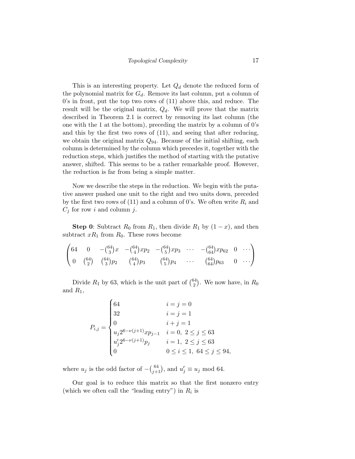This is an interesting property. Let  $Q_d$  denote the reduced form of the polynomial matrix for  $G_d$ . Remove its last column, put a column of 0's in front, put the top two rows of (11) above this, and reduce. The result will be the original matrix,  $Q_d$ . We will prove that the matrix described in Theorem 2.1 is correct by removing its last column (the one with the 1 at the bottom), preceding the matrix by a column of 0's and this by the first two rows of (11), and seeing that after reducing, we obtain the original matrix  $Q_{94}$ . Because of the initial shifting, each column is determined by the column which precedes it, together with the reduction steps, which justifies the method of starting with the putative answer, shifted. This seems to be a rather remarkable proof. However, the reduction is far from being a simple matter.

Now we describe the steps in the reduction. We begin with the putative answer pushed one unit to the right and two units down, preceded by the first two rows of (11) and a column of 0's. We often write  $R_i$  and  $C_j$  for row i and column j.

**Step 0:** Subtract  $R_0$  from  $R_1$ , then divide  $R_1$  by  $(1-x)$ , and then subtract  $xR_1$  from  $R_0$ . These rows become

$$
\begin{pmatrix} 64 & 0 & -\binom{64}{3}x & -\binom{64}{4}xp_2 & -\binom{64}{5}xp_3 & \cdots & -\binom{64}{64}xp_6 & 0 & \cdots \\ 0 & \binom{64}{2} & \binom{64}{3}p_2 & \binom{64}{4}p_3 & \binom{64}{5}p_4 & \cdots & \binom{64}{64}p_{63} & 0 & \cdots \end{pmatrix}
$$

Divide  $R_1$  by 63, which is the unit part of  $\binom{64}{2}$  $_{2}^{54}$ ). We now have, in  $R_0$ and  $R_1$ ,

$$
P_{i,j} = \begin{cases} 64 & i = j = 0 \\ 32 & i = j = 1 \\ 0 & i + j = 1 \\ u_j 2^{6-\nu(j+1)} x p_{j-1} & i = 0, \ 2 \le j \le 63 \\ u'_j 2^{6-\nu(j+1)} p_j & i = 1, \ 2 \le j \le 63 \\ 0 & 0 \le i \le 1, \ 64 \le j \le 94, \end{cases}
$$

where  $u_j$  is the odd factor of  $-(\frac{64}{j+1})$ , and  $u'_j \equiv u_j \mod 64$ .

Our goal is to reduce this matrix so that the first nonzero entry (which we often call the "leading entry") in  $R_i$  is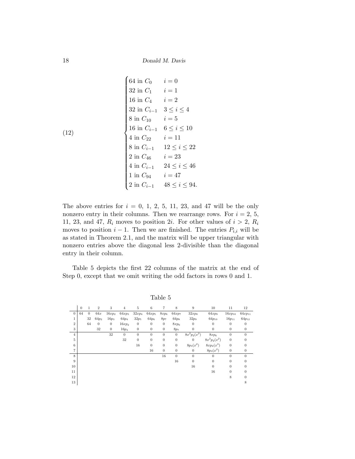(12)  
\n
$$
\begin{cases}\n64 \text{ in } C_0 & i = 0 \\
32 \text{ in } C_1 & i = 1 \\
16 \text{ in } C_4 & i = 2 \\
32 \text{ in } C_{i-1} & 3 \leq i \leq 4 \\
8 \text{ in } C_{10} & i = 5 \\
16 \text{ in } C_{i-1} & 6 \leq i \leq 10 \\
4 \text{ in } C_{22} & i = 11 \\
8 \text{ in } C_{i-1} & 12 \leq i \leq 22 \\
2 \text{ in } C_{46} & i = 23 \\
4 \text{ in } C_{i-1} & 24 \leq i \leq 46 \\
1 \text{ in } C_{94} & i = 47 \\
2 \text{ in } C_{i-1} & 48 \leq i \leq 94.\n\end{cases}
$$

The above entries for  $i = 0, 1, 2, 5, 11, 23,$  and 47 will be the only nonzero entry in their columns. Then we rearrange rows. For  $i = 2, 5$ , 11, 23, and 47,  $R_i$  moves to position 2*i*. For other values of  $i > 2$ ,  $R_i$ moves to position  $i - 1$ . Then we are finished. The entries  $P_{i,i}$  will be as stated in Theorem 2.1, and the matrix will be upper triangular with nonzero entries above the diagonal less 2-divisible than the diagonal entry in their column.

Table 5 depicts the first 22 columns of the matrix at the end of Step 0, except that we omit writing the odd factors in rows 0 and 1.

|                | $\theta$ | $\mathbf{1}$ | $\overline{2}$ | 3            | $\overline{4}$ | 5                | 6                | 7                | $\,$ 8 $\,$      | $\boldsymbol{9}$ | 10                | 11             | 12               |
|----------------|----------|--------------|----------------|--------------|----------------|------------------|------------------|------------------|------------------|------------------|-------------------|----------------|------------------|
| $\mathbf{0}$   | 64       | $\theta$     | 64x            | $16xp_2$     | $64xp_3$       | $32xp_4$         | $64xp_5$         | $8xp_6$          | $64xp_7$         | $32xp_8$         | 64xp <sub>9</sub> | $16xp_{10}$    | $64xp_{11}$      |
| 1              |          | 32           | $64p_2$        | $16p_3$      | $64p_4$        | $32p_5$          | $64p_6$          | 8p <sub>7</sub>  | $64p_8$          | $32p_9$          | $64p_{10}$        | $16p_{11}$     | $64p_{12}$       |
| $\sqrt{2}$     |          | 64           | $\theta$       | $\theta$     | $16xp_2$       | $\mathbf{0}$     | $\boldsymbol{0}$ | $\mathbf{0}$     | $8xp_6$          | $\mathbf{0}$     | $\overline{0}$    | $\theta$       | $\mathbf{0}$     |
| $\,3$          |          |              | 32             | $\mathbf{0}$ | $16p_3$        | $\boldsymbol{0}$ | $\boldsymbol{0}$ | $\mathbf{0}$     | 8p7              | $\boldsymbol{0}$ | $\boldsymbol{0}$  | $\mathbf{0}$   | $\mathbf{0}$     |
| $\overline{4}$ |          |              |                | 32           | $\theta$       | $\theta$         | $\theta$         | $\mathbf{0}$     | $\mathbf{0}$     | $8x^2p_2(x^2)$   | $8xp_6$           | $\overline{0}$ | $\overline{0}$   |
| 5              |          |              |                |              | 32             | $\boldsymbol{0}$ | $\boldsymbol{0}$ | $\boldsymbol{0}$ | $\boldsymbol{0}$ | $\boldsymbol{0}$ | $8x^2p_2(x^2)$    | $\mathbf{0}$   | $\boldsymbol{0}$ |
| 6              |          |              |                |              |                | 16               | $\boldsymbol{0}$ | $\boldsymbol{0}$ | $\boldsymbol{0}$ | $8p_3(x^2)$      | $8xp_2(x^3)$      | $\mathbf{0}$   | $\boldsymbol{0}$ |
| $\overline{7}$ |          |              |                |              |                |                  | 16               | $\mathbf{0}$     | $\mathbf{0}$     | $\mathbf{0}$     | $8p_3(x^2)$       | $\theta$       | $\mathbf{0}$     |
| 8              |          |              |                |              |                |                  |                  | 16               | $\overline{0}$   | $\theta$         | $\theta$          | $\overline{0}$ | $\theta$         |
| 9              |          |              |                |              |                |                  |                  |                  | $16\,$           | $\overline{0}$   | $\overline{0}$    | $\theta$       | $\theta$         |
| 10             |          |              |                |              |                |                  |                  |                  |                  | 16               | $\boldsymbol{0}$  | $\theta$       | $\boldsymbol{0}$ |
| 11             |          |              |                |              |                |                  |                  |                  |                  |                  | 16                | $\theta$       | $\theta$         |
| 12             |          |              |                |              |                |                  |                  |                  |                  |                  |                   | 8              | $\theta$         |
| 13             |          |              |                |              |                |                  |                  |                  |                  |                  |                   |                | 8                |

Table 5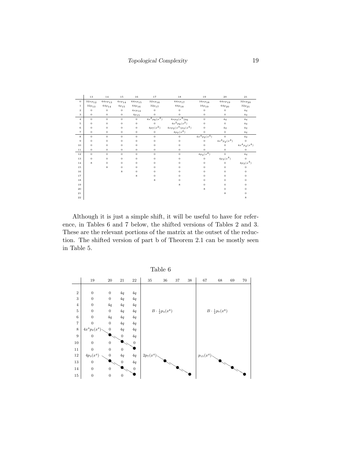|                | 13                               | $14\,$         | $1\,5$             | $16\,$                     | $1\,7$                           | $1\,8$                     | 19                     | 20                          | $\bf{21}$                        |
|----------------|----------------------------------|----------------|--------------------|----------------------------|----------------------------------|----------------------------|------------------------|-----------------------------|----------------------------------|
| $\theta$       | $32xp_{12}$                      | $64xp_{13}$    | $4\,x\,p_{\,1\,4}$ | $64xp_{15}$                | $32xp_{16}$                      | $64xp_{17}$                | $_{16xp_{18}}$         | $64xp_{19}$                 | $32xp_{20}$                      |
| $\mathbf{1}$   | $_{\scriptscriptstyle 32p_{13}}$ | $^{64p_{14}}$  | $\sqrt[4p]{15}$    | $^{64p_{16}}$              | $_{\scriptscriptstyle 32p_{17}}$ | $^{64p_{18}}\,$            | $_{16p_{19}}$          | $^{64} \boldsymbol{p}_{20}$ | $_{\scriptscriptstyle 32p_{21}}$ |
| $\,2\,$        | $\boldsymbol{0}$                 | $\bf{0}$       | $\boldsymbol{0}$   | $4\, x p_{1\, 4}$          | $\bf{0}$                         | $\boldsymbol{0}$           | $\boldsymbol{0}$       | $\mathbf 0$                 | 4q                               |
| 3              | $\theta$                         | $\theta$       | $\theta$           | $\displaystyle{{4p_{15}}}$ | $\theta$                         | $\sigma$                   | $\theta$               | $\theta$                    | 4q                               |
| $\overline{4}$ | $\theta$                         | $\theta$       | $\theta$           | $\theta$                   | $4x^2p_6(x^2)$                   | $4x\overline{p_3(x^4)p_6}$ | $\theta$               | 4q                          | 4q                               |
| 5              | $\theta$                         | $\mathbf{O}$   | $\theta$           | $\theta$                   | $\Omega$                         | $4x^2p_6(x^2)$             | $\theta$               | $\mathbf{0}$                | 4q                               |
| 6              | $\theta$                         | $\overline{0}$ | $\theta$           | $\sigma$                   | $4p_7(x^2)$                      | $4xp_2(x^3)p_3(x^4)$       | $\theta$               | 4q                          | 4q                               |
| $\overline{7}$ | $\boldsymbol{0}$                 | $\mathbf 0$    | $\boldsymbol{0}$   | $\boldsymbol{0}$           | $\,$ 0 $\,$                      | $4p_7(x^2)$                | $\boldsymbol{0}$       | 0                           | $4\sqrt{q}$                      |
| 8              | $\theta$                         | $\sigma$       | $\theta$           | $\theta$                   | $\overline{0}$                   | $\sigma$                   | $4x^4p_2(x^4)$         | $\theta$                    | 4q                               |
| 9              | $\boldsymbol{0}$                 | $\overline{0}$ | $\boldsymbol{0}$   | $\bf{0}$                   | $\overline{0}$                   | $\theta$                   | $\theta$               | $4x^{4}p_{2}(x^{4})$        | $\theta$                         |
| 10             | $\theta$                         | $\overline{0}$ | $\theta$           | $\overline{0}$             | $\mathbf{O}$                     | $\sigma$                   | $\theta$               | $\overline{0}$              | $4x^4p_2(x^4)$                   |
| 11             | $\,$ 0 $\,$                      | $\theta$       | $\theta$           | $\theta$                   | $\theta$                         | $\theta$                   | $\theta$               | $\theta$                    | $\theta$                         |
| 12             | $\theta$                         | $\theta$       | $\theta$           | $\overline{0}$             | $\sigma$                         | $\theta$                   | $4p_3\overline{(x^4)}$ | $\sigma$                    | 4q                               |
| $1\,3$         | $\theta$                         | $\overline{0}$ | $\sigma$           | $\overline{0}$             | $\mathbf{O}$                     | $\overline{0}$             | $\theta$               | $4p_3(x^4)$                 | $\theta$                         |
| $1\,4$         | 8                                | $\mathbf 0$    | $\boldsymbol{0}$   | $\overline{0}$             | $\mathbf{0}$                     | $\sigma$                   | $\theta$               | $\mathbf 0$                 | $4p_3(x^4)$                      |
| $1\,5$         |                                  | 8              | $\sigma$           | $\theta$                   | $\Omega$                         | $\mathbf{0}$               | $\mathbf{O}$           | 0                           | $\mathbf 0$                      |
| $1\,6$         |                                  |                | 8                  | $\theta$                   | $\Omega$                         | $\mathbf{0}$               | $\mathbf{O}$           | 0                           | $\Omega$                         |
| $1\,7$         |                                  |                |                    | 8                          | $\Omega$                         | $\mathbf{0}$               | $\mathbf{O}$           | 0                           | $\mathbf{O}$                     |
| $1\,8$         |                                  |                |                    |                            | 8                                | $\mathbf{0}$               | $\mathbf{O}$           | 0                           | $\Omega$                         |
| 19             |                                  |                |                    |                            |                                  | 8                          | $\overline{0}$         | $\sigma$                    | $\mathbf{O}$                     |
| 20             |                                  |                |                    |                            |                                  |                            | 8                      | 0                           | $\mathbf{0}$                     |
| $\bf{21}$      |                                  |                |                    |                            |                                  |                            |                        | 8                           | $\Omega$                         |
| $^{\rm 22}$    |                                  |                |                    |                            |                                  |                            |                        |                             | 8                                |

Although it is just a simple shift, it will be useful to have for reference, in Tables 6 and 7 below, the shifted versions of Tables 2 and 3. These are the relevant portions of the matrix at the outset of the reduction. The shifted version of part b of Theorem 2.1 can be mostly seen in Table 5.

|                         | Table 6          |                          |                          |                          |             |                                |        |        |               |                                |    |        |  |
|-------------------------|------------------|--------------------------|--------------------------|--------------------------|-------------|--------------------------------|--------|--------|---------------|--------------------------------|----|--------|--|
|                         | 19               | 20                       | 21                       | $\bf 22$                 | $35\,$      | 36                             | $37\,$ | $38\,$ | 67            | 68                             | 69 | $70\,$ |  |
|                         |                  |                          |                          |                          |             |                                |        |        |               |                                |    |        |  |
| $\,2$                   | $\boldsymbol{0}$ | $\boldsymbol{0}$         | 4q                       | $4\ensuremath{q}\xspace$ |             |                                |        |        |               |                                |    |        |  |
| $\,3$                   | $\boldsymbol{0}$ | $\boldsymbol{0}$         | 4q                       | $4\ensuremath{q}\xspace$ |             |                                |        |        |               |                                |    |        |  |
| $\,4$                   | $\boldsymbol{0}$ | 4q                       | 4q                       | $4\ensuremath{q}\xspace$ |             |                                |        |        |               |                                |    |        |  |
| $\bf 5$                 | $\boldsymbol{0}$ | $\boldsymbol{0}$         | 4q                       | $4\ensuremath{q}\xspace$ |             | $B \cdot \frac{1}{2} p_3(x^8)$ |        |        |               | $B \cdot \frac{1}{4} p_7(x^8)$ |    |        |  |
| $\,6$                   | $\boldsymbol{0}$ | $4\ensuremath{q}\xspace$ | 4q                       | 4q                       |             |                                |        |        |               |                                |    |        |  |
| $\overline{\mathbf{7}}$ | $\boldsymbol{0}$ | $\boldsymbol{0}$         | 4q                       | $4\ensuremath{q}\xspace$ |             |                                |        |        |               |                                |    |        |  |
| $\,$ 8 $\,$             | $4x^4p_2(x^4)$   | $\boldsymbol{0}$         | 4q                       | $4\ensuremath{q}\xspace$ |             |                                |        |        |               |                                |    |        |  |
| $\overline{9}$          | $\boldsymbol{0}$ |                          | $\overline{0}$           | $4\ensuremath{q}\xspace$ |             |                                |        |        |               |                                |    |        |  |
| 10                      | $\mathbf{0}$     | $\boldsymbol{0}$         |                          | $\boldsymbol{0}$         |             |                                |        |        |               |                                |    |        |  |
| $11\,$                  | $\theta$         | $\boldsymbol{0}$         | $\overline{0}$           |                          |             |                                |        |        |               |                                |    |        |  |
| $12\,$                  | $4p_3(x^4)$      | $\boldsymbol{0}$         | $4\ensuremath{q}\xspace$ | $4\ensuremath{q}\xspace$ | $2p_7(x^4)$ |                                |        |        | $p_{15}(x^4)$ |                                |    |        |  |
| $13\,$                  | $\boldsymbol{0}$ |                          | $\overline{0}$           | $4\ensuremath{q}\xspace$ |             |                                |        |        |               |                                |    |        |  |
| $14\,$                  | $\mathbf{0}$     | $\,0\,$                  |                          | $\boldsymbol{0}$         |             |                                |        |        |               |                                |    |        |  |
| $15\,$                  | $\boldsymbol{0}$ | $\boldsymbol{0}$         | $\boldsymbol{0}$         |                          |             |                                |        |        |               |                                |    |        |  |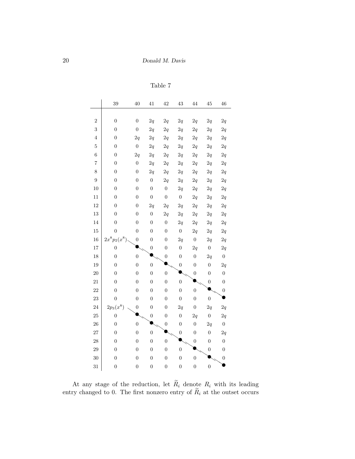```
Table 7
```

|                | 39               | 40               | 41               | 42               | 43               | 44               | 45               | 46               |
|----------------|------------------|------------------|------------------|------------------|------------------|------------------|------------------|------------------|
|                |                  |                  |                  |                  |                  |                  |                  |                  |
| $\overline{2}$ | $\boldsymbol{0}$ | $\boldsymbol{0}$ | 2q               | 2q               | 2q               | 2q               | 2q               | 2q               |
| 3              | $\boldsymbol{0}$ | $\boldsymbol{0}$ | 2q               | 2q               | 2q               | 2q               | $2\mathfrak{q}$  | 2q               |
| $\overline{4}$ | $\overline{0}$   | 2q               | 2q               | 2q               | 2q               | 2q               | 2q               | 2q               |
| $\overline{5}$ | $\overline{0}$   | $\boldsymbol{0}$ | 2q               | 2q               | 2q               | 2q               | 2q               | 2q               |
| 6              | $\boldsymbol{0}$ | 2q               | 2q               | 2q               | $2\mathfrak{q}$  | 2q               | 2q               | 2q               |
| $\overline{7}$ | $\overline{0}$   | $\boldsymbol{0}$ | $2\mathfrak{q}$  | $2\mathfrak{q}$  | $2\mathfrak{q}$  | 2q               | $2\mathfrak{q}$  | 2q               |
| 8              | $\boldsymbol{0}$ | $\boldsymbol{0}$ | 2q               | 2q               | $2\mathfrak{q}$  | $2\mathfrak{q}$  | 2q               | $2\mathfrak{q}$  |
| $\overline{9}$ | $\overline{0}$   | $\overline{0}$   | $\boldsymbol{0}$ | 2q               | 2q               | 2q               | 2q               | 2q               |
| 10             | $\overline{0}$   | $\boldsymbol{0}$ | $\overline{0}$   | $\overline{0}$   | $2\sqrt{q}$      | 2q               | $2\mathfrak{q}$  | 2q               |
| 11             | $\boldsymbol{0}$ | $\boldsymbol{0}$ | $\boldsymbol{0}$ | $\boldsymbol{0}$ | $\boldsymbol{0}$ | 2q               | 2q               | 2q               |
| 12             | $\boldsymbol{0}$ | $\boldsymbol{0}$ | 2q               | 2q               | 2q               | 2q               | 2q               | 2q               |
| 13             | $\overline{0}$   | $\boldsymbol{0}$ | $\boldsymbol{0}$ | 2q               | 2q               | 2q               | 2q               | $2\mathfrak{q}$  |
| 14             | $\overline{0}$   | $\overline{0}$   | $\boldsymbol{0}$ | $\boldsymbol{0}$ | 2q               | 2q               | $2\mathfrak{q}$  | 2q               |
| 15             | $\overline{0}$   | $\boldsymbol{0}$ | $\overline{0}$   | $\boldsymbol{0}$ | $\boldsymbol{0}$ | 2q               | 2q               | 2q               |
| 16             | $2x^8p_2(x^8)$   | $\overline{0}$   | $\overline{0}$   | $\overline{0}$   | 2q               | $\overline{0}$   | 2q               | 2q               |
| 17             | $\boldsymbol{0}$ |                  | $\boldsymbol{0}$ | $\boldsymbol{0}$ | $\boldsymbol{0}$ | 2q               | $\boldsymbol{0}$ | 2q               |
| 18             | $\boldsymbol{0}$ | $\overline{0}$   |                  | $\boldsymbol{0}$ | $\boldsymbol{0}$ | $\boldsymbol{0}$ | 2q               | $\boldsymbol{0}$ |
| 19             | $\overline{0}$   | $\overline{0}$   | $\boldsymbol{0}$ |                  | $\boldsymbol{0}$ | $\boldsymbol{0}$ | $\boldsymbol{0}$ | 2q               |
| 20             | $\overline{0}$   | $\boldsymbol{0}$ | $\boldsymbol{0}$ | $\overline{0}$   |                  | $\overline{0}$   | $\overline{0}$   | $\overline{0}$   |
| 21             | $\boldsymbol{0}$ | $\boldsymbol{0}$ | $\overline{0}$   | $\overline{0}$   | $\overline{0}$   |                  | $\boldsymbol{0}$ | $\boldsymbol{0}$ |
| 22             | $\boldsymbol{0}$ | $\boldsymbol{0}$ | $\overline{0}$   | $\boldsymbol{0}$ | $\boldsymbol{0}$ | $\boldsymbol{0}$ |                  | $\boldsymbol{0}$ |
| 23             | $\overline{0}$   | $\boldsymbol{0}$ | $\overline{0}$   | $\overline{0}$   | $\boldsymbol{0}$ | $\boldsymbol{0}$ | $\boldsymbol{0}$ |                  |
| 24             | $2p_3(x^8)$      | $\boldsymbol{0}$ | $\overline{0}$   | $\overline{0}$   | 2q               | $\boldsymbol{0}$ | 2q               | 2q               |
| 25             | $\overline{0}$   |                  | $\boldsymbol{0}$ | $\boldsymbol{0}$ | $\boldsymbol{0}$ | 2q               | $\boldsymbol{0}$ | 2q               |
| 26             | $\overline{0}$   | $\overline{0}$   |                  | $\boldsymbol{0}$ | $\boldsymbol{0}$ | $\boldsymbol{0}$ | 2q               | $\boldsymbol{0}$ |
| 27             | $\boldsymbol{0}$ | $\boldsymbol{0}$ | $\boldsymbol{0}$ |                  | $\boldsymbol{0}$ | $\boldsymbol{0}$ | $\boldsymbol{0}$ | 2q               |
| $\sqrt{28}$    | $\overline{0}$   | $\overline{0}$   | $\overline{0}$   | $\overline{0}$   |                  | $\boldsymbol{0}$ | $\overline{0}$   | $\boldsymbol{0}$ |
| 29             | $\overline{0}$   | $\boldsymbol{0}$ | $\overline{0}$   | $\overline{0}$   | $\boldsymbol{0}$ |                  | $\boldsymbol{0}$ | $\boldsymbol{0}$ |
| 30             | $\boldsymbol{0}$ | $\boldsymbol{0}$ | $\overline{0}$   | $\boldsymbol{0}$ | $\boldsymbol{0}$ | $\overline{0}$   |                  | $\boldsymbol{0}$ |
| 31             | $\boldsymbol{0}$ | $\boldsymbol{0}$ | $\overline{0}$   | $\boldsymbol{0}$ | $\boldsymbol{0}$ | $\boldsymbol{0}$ | $\overline{0}$   |                  |

At any stage of the reduction, let  $R_i$  denote  $R_i$  with its leading entry changed to 0. The first nonzero entry of  $R_i$  at the outset occurs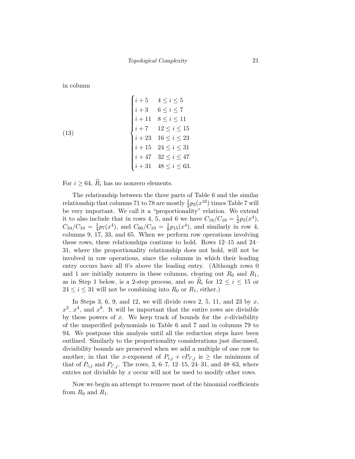in column

(13)  

$$
\begin{cases}\ni+5 & 4 \le i \le 5 \\
i+3 & 6 \le i \le 7 \\
i+11 & 8 \le i \le 11 \\
i+7 & 12 \le i \le 15 \\
i+23 & 16 \le i \le 23 \\
i+15 & 24 \le i \le 31 \\
i+47 & 32 \le i \le 47 \\
i+31 & 48 \le i \le 63.\n\end{cases}
$$

For  $i \geq 64$ ,  $\widetilde{R}_i$  has no nonzero elements.

The relationship between the three parts of Table 6 and the similar relationship that columns 71 to 78 are mostly  $\frac{1}{2}p_3(x^{16})$  times Table 7 will be very important. We call it a "proportionality" relation. We extend it to also include that in rows 4, 5, and 6 we have  $C_{18}/C_{10} = \frac{1}{2}$  $\frac{1}{2}p_3(x^4),$  $C_{34}/C_{10} = \frac{1}{4}$  $\frac{1}{4}p_7(x^4)$ , and  $C_{66}/C_{10} = \frac{1}{8}$  $\frac{1}{8}p_{15}(x^4)$ , and similarly in row 4, columns 9, 17, 33, and 65. When we perform row operations involving these rows, these relationships continue to hold. Rows 12–15 and 24– 31, where the proportionality relationship does not hold, will not be involved in row operations, since the columns in which their leading entry occurs have all 0's above the leading entry. (Although rows 0 and 1 are initially nonzero in these columns, clearing out  $R_0$  and  $R_1$ , as in Step 1 below, is a 2-step process, and so  $R_i$  for  $12 \leq i \leq 15$  or  $24 \leq i \leq 31$  will not be combining into  $R_0$  or  $R_1$ , either.)

In Steps 3, 6, 9, and 12, we will divide rows 2, 5, 11, and 23 by  $x$ ,  $x^2, x^4$ , and  $x^8$ . It will be important that the entire rows are divisible by these powers of  $x$ . We keep track of bounds for the  $x$ -divisibility of the unspecified polynomials in Table 6 and 7 and in columns 79 to 94. We postpone this analysis until all the reduction steps have been outlined. Similarly to the proportionality considerations just discussed, divisibility bounds are preserved when we add a multiple of one row to another, in that the x-exponent of  $P_{i,j} + cP_{i',j}$  is  $\geq$  the minimum of that of  $P_{i,j}$  and  $P_{i',j}$ . The rows, 3, 6–7, 12–15, 24–31, and 48–63, where entries not divisible by  $x$  occur will not be used to modify other rows.

Now we begin an attempt to remove most of the binomial coefficients from  $R_0$  and  $R_1$ .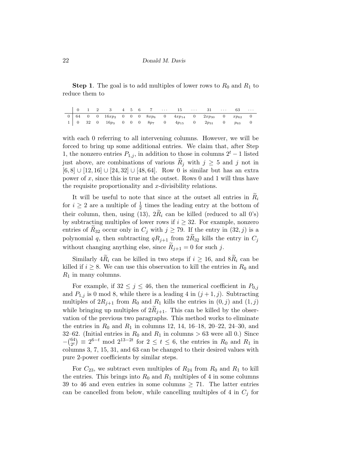**Step 1**. The goal is to add multiples of lower rows to  $R_0$  and  $R_1$  to reduce them to

|  |  |  |  |  | $0 \begin{array}{ ccc ccc ccc } 64 & 0 & 0 & 16xp_2 & 0 & 0 & 0 & 8xp_6 & 0 & 4xp_{14} & 0 & 2xp_{30} & 0 & xp_{62} & 0 \end{array}$ |  |  |  |
|--|--|--|--|--|--------------------------------------------------------------------------------------------------------------------------------------|--|--|--|
|  |  |  |  |  |                                                                                                                                      |  |  |  |

with each 0 referring to all intervening columns. However, we will be forced to bring up some additional entries. We claim that, after Step 1, the nonzero entries  $P_{1,j}$ , in addition to those in columns  $2<sup>t</sup> - 1$  listed just above, are combinations of various  $R_j$  with  $j \geq 5$  and j not in  $[6, 8] \cup [12, 16] \cup [24, 32] \cup [48, 64]$ . Row 0 is similar but has an extra power of x, since this is true at the outset. Rows 0 and 1 will thus have the requisite proportionality and  $x$ -divisibility relations.

It will be useful to note that since at the outset all entries in  $R_i$ for  $i \geq 2$  are a multiple of  $\frac{1}{2}$  times the leading entry at the bottom of their column, then, using (13),  $2\tilde{R}_i$  can be killed (reduced to all 0's) by subtracting multiples of lower rows if  $i \geq 32$ . For example, nonzero entries of  $R_{32}$  occur only in  $C_j$  with  $j \geq 79$ . If the entry in  $(32, j)$  is a polynomial q, then subtracting  $qR_{j+1}$  from  $2\widetilde{R}_{32}$  kills the entry in  $C_j$ without changing anything else, since  $R_{i+1} = 0$  for such j.

Similarly  $4\widetilde{R}_i$  can be killed in two steps if  $i \geq 16$ , and  $8\widetilde{R}_i$  can be killed if  $i \geq 8$ . We can use this observation to kill the entries in  $R_0$  and  $R_1$  in many columns.

For example, if  $32 \leq j \leq 46$ , then the numerical coefficient in  $P_{0,j}$ and  $P_{1,j}$  is 0 mod 8, while there is a leading 4 in  $(j+1, j)$ . Subtracting multiples of  $2R_{j+1}$  from  $R_0$  and  $R_1$  kills the entries in  $(0, j)$  and  $(1, j)$ while bringing up multiples of  $2R_{j+1}$ . This can be killed by the observation of the previous two paragraphs. This method works to eliminate the entries in  $R_0$  and  $R_1$  in columns 12, 14, 16–18, 20–22, 24–30, and 32–62. (Initial entries in  $R_0$  and  $R_1$  in columns > 63 were all 0.) Since  $-\binom{64}{2t}$  $\binom{64}{2^t} \equiv 2^{6-t} \mod 2^{13-2t}$  for  $2 \le t \le 6$ , the entries in  $R_0$  and  $R_1$  in columns 3, 7, 15, 31, and 63 can be changed to their desired values with pure 2-power coefficients by similar steps.

For  $C_{23}$ , we subtract even multiples of  $R_{24}$  from  $R_0$  and  $R_1$  to kill the entries. This brings into  $R_0$  and  $R_1$  multiples of 4 in some columns 39 to 46 and even entries in some columns  $\geq$  71. The latter entries can be cancelled from below, while cancelling multiples of 4 in  $C_i$  for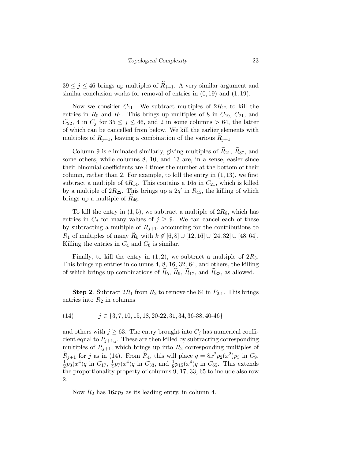$39 \leq j \leq 46$  brings up multiples of  $R_{j+1}$ . A very similar argument and similar conclusion works for removal of entries in  $(0, 19)$  and  $(1, 19)$ .

Now we consider  $C_{11}$ . We subtract multiples of  $2R_{12}$  to kill the entries in  $R_0$  and  $R_1$ . This brings up multiples of 8 in  $C_{19}$ ,  $C_{21}$ , and  $C_{22}$ , 4 in  $C_j$  for  $35 \leq j \leq 46$ , and 2 in some columns  $> 64$ , the latter of which can be cancelled from below. We kill the earlier elements with multiples of  $R_{j+1}$ , leaving a combination of the various  $R_{j+1}$ 

Column 9 is eliminated similarly, giving multiples of  $R_{21}$ ,  $R_{37}$ , and some others, while columns 8, 10, and 13 are, in a sense, easier since their binomial coefficients are 4 times the number at the bottom of their column, rather than 2. For example, to kill the entry in  $(1, 13)$ , we first subtract a multiple of  $4R_{14}$ . This contains a 16q in  $C_{21}$ , which is killed by a multiple of  $2R_{22}$ . This brings up a  $2q'$  in  $R_{45}$ , the killing of which brings up a multiple of  $R_{46}$ .

To kill the entry in  $(1, 5)$ , we subtract a multiple of  $2R_6$ , which has entries in  $C_j$  for many values of  $j \geq 9$ . We can cancel each of these by subtracting a multiple of  $R_{j+1}$ , accounting for the contributions to R<sub>1</sub> of multiples of many  $R_k$  with  $k \notin [6, 8] \cup [12, 16] \cup [24, 32] \cup [48, 64]$ . Killing the entries in  $C_4$  and  $C_6$  is similar.

Finally, to kill the entry in  $(1, 2)$ , we subtract a multiple of  $2R_3$ . This brings up entries in columns 4, 8, 16, 32, 64, and others, the killing of which brings up combinations of  $R_5$ ,  $R_9$ ,  $R_{17}$ , and  $R_{33}$ , as allowed.

**Step 2.** Subtract  $2R_1$  from  $R_2$  to remove the 64 in  $P_{2,1}$ . This brings entries into  $R_2$  in columns

$$
(14) \qquad j \in \{3, 7, 10, 15, 18, 20-22, 31, 34, 36-38, 40-46\}
$$

and others with  $j \geq 63$ . The entry brought into  $C_j$  has numerical coefficient equal to  $P_{j+1,j}$ . These are then killed by subtracting corresponding multiples of  $R_{j+1}$ , which brings up into  $R_2$  corresponding multiples of  $\widetilde{R}_{j+1}$  for j as in (14). From  $\widetilde{R}_4$ , this will place  $q = 8x^2 p_2(x^2)p_3$  in  $C_9$ , 1  $\frac{1}{2}p_3(x^4)q$  in  $C_{17}$ ,  $\frac{1}{4}$  $\frac{1}{4}p_7(x^4)q$  in  $C_{33}$ , and  $\frac{1}{8}p_{15}(x^4)q$  in  $C_{65}$ . This extends the proportionality property of columns 9, 17, 33, 65 to include also row 2.

Now  $R_2$  has  $16xp_2$  as its leading entry, in column 4.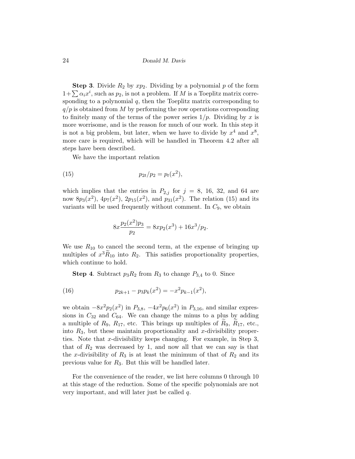**Step 3.** Divide  $R_2$  by  $xp_2$ . Dividing by a polynomial p of the form  $1+\sum \alpha_i x^i$ , such as  $p_2$ , is not a problem. If M is a Toeplitz matrix corresponding to a polynomial  $q$ , then the Toeplitz matrix corresponding to  $q/p$  is obtained from M by performing the row operations corresponding to finitely many of the terms of the power series  $1/p$ . Dividing by x is more worrisome, and is the reason for much of our work. In this step it is not a big problem, but later, when we have to divide by  $x^4$  and  $x^8$ , more care is required, which will be handled in Theorem 4.2 after all steps have been described.

We have the important relation

(15) 
$$
p_{2t}/p_2 = p_t(x^2),
$$

which implies that the entries in  $P_{2,j}$  for  $j = 8, 16, 32,$  and 64 are now  $8p_3(x^2)$ ,  $4p_7(x^2)$ ,  $2p_{15}(x^2)$ , and  $p_{31}(x^2)$ . The relation (15) and its variants will be used frequently without comment. In  $C_9$ , we obtain

$$
8x \frac{p_2(x^2)p_3}{p_2} = 8xp_2(x^3) + 16x^3/p_2.
$$

We use  $R_{10}$  to cancel the second term, at the expense of bringing up multiples of  $x^3 \tilde{R}_{10}$  into  $R_2$ . This satisfies proportionality properties, which continue to hold.

**Step 4.** Subtract  $p_3R_2$  from  $R_3$  to change  $P_{3,4}$  to 0. Since

(16) 
$$
p_{2k+1} - p_3 p_k(x^2) = -x^2 p_{k-1}(x^2),
$$

we obtain  $-8x^2p_2(x^2)$  in  $P_{3,8}$ ,  $-4x^2p_6(x^2)$  in  $P_{3,16}$ , and similar expressions in  $C_{32}$  and  $C_{64}$ . We can change the minus to a plus by adding a multiple of  $R_9$ ,  $R_{17}$ , etc. This brings up multiples of  $R_9$ ,  $R_{17}$ , etc., into  $R_3$ , but these maintain proportionality and x-divisibility properties. Note that x-divisibility keeps changing. For example, in Step  $3$ , that of  $R_2$  was decreased by 1, and now all that we can say is that the x-divisibility of  $R_3$  is at least the minimum of that of  $R_2$  and its previous value for  $R_3$ . But this will be handled later.

For the convenience of the reader, we list here columns 0 through 10 at this stage of the reduction. Some of the specific polynomials are not very important, and will later just be called q.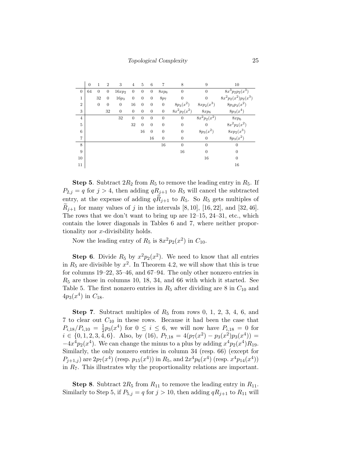|                | $\overline{0}$ | 1                | $\overline{2}$ | 3              | $\overline{4}$   | 5              | 6              | 7                | 8              | 9              | 10                       |
|----------------|----------------|------------------|----------------|----------------|------------------|----------------|----------------|------------------|----------------|----------------|--------------------------|
| $\theta$       | 64             | $\overline{0}$   | $\overline{0}$ | $16xp_2$       | $\boldsymbol{0}$ | $\overline{0}$ | $\overline{0}$ | $8xp_6$          | $\theta$       | $\overline{0}$ | $\sqrt{8x^3p_2p_2(x^3)}$ |
| 1              |                | 32               | $\theta$       | $16p_3$        | $\mathbf{0}$     | $\theta$       | $\overline{0}$ | 8p7              | $\theta$       | $\overline{0}$ | $8x^2p_2(x^2)p_2(x^3)$   |
| $\overline{2}$ |                | $\boldsymbol{0}$ | $\theta$       | $\overline{0}$ | 16               | $\mathbf{0}$   | $\overline{0}$ | $\mathbf{0}$     | $8p_3(x^2)$    | $8xp_2(x^3)$   | $8p_3p_3(x^2)$           |
| 3              |                |                  | 32             | $\theta$       | $\boldsymbol{0}$ | $\overline{0}$ | $\overline{0}$ | $\mathbf{0}$     | $8x^2p_2(x^2)$ | $8xp_6$        | $8p_3(x^4)$              |
| $\overline{4}$ |                |                  |                | 32             | $\theta$         | $\theta$       | $\overline{0}$ | $\theta$         | $\theta$       | $8x^2p_2(x^2)$ | $8xp_6$                  |
| 5              |                |                  |                |                | 32               | $\overline{0}$ | $\overline{0}$ | $\boldsymbol{0}$ | $\mathbf{0}$   | $\overline{0}$ | $8x^2p_2(x^2)$           |
| 6              |                |                  |                |                |                  | 16             | $\overline{0}$ | $\boldsymbol{0}$ | $\mathbf{0}$   | $8p_3(x^2)$    | $8xp_2(x^3)$             |
| 7              |                |                  |                |                |                  |                | 16             | $\overline{0}$   | $\mathbf{0}$   | $\overline{0}$ | $8p_3(x^2)$              |
| 8              |                |                  |                |                |                  |                |                | 16               | $\overline{0}$ | $\overline{0}$ | $\overline{0}$           |
| 9              |                |                  |                |                |                  |                |                |                  | 16             | $\Omega$       | $\overline{0}$           |
| 10             |                |                  |                |                |                  |                |                |                  |                | 16             | $\theta$                 |
| 11             |                |                  |                |                |                  |                |                |                  |                |                | 16                       |

**Step 5.** Subtract  $2R_2$  from  $R_5$  to remove the leading entry in  $R_5$ . If  $P_{2,j} = q$  for  $j > 4$ , then adding  $qR_{j+1}$  to  $R_5$  will cancel the subtracted entry, at the expense of adding  $qR_{j+1}$  to  $R_5$ . So  $R_5$  gets multiples of  $R_{i+1}$  for many values of j in the intervals [8, 10], [16, 22], and [32, 46]. The rows that we don't want to bring up are 12–15, 24–31, etc., which contain the lower diagonals in Tables 6 and 7, where neither proportionality nor x-divisibility holds.

Now the leading entry of  $R_5$  is  $8x^2p_2(x^2)$  in  $C_{10}$ .

**Step 6.** Divide  $R_5$  by  $x^2p_2(x^2)$ . We need to know that all entries in  $R_5$  are divisible by  $x^2$ . In Theorem 4.2, we will show that this is true for columns 19–22, 35–46, and 67–94. The only other nonzero entries in  $R_5$  are those in columns 10, 18, 34, and 66 with which it started. See Table 5. The first nonzero entries in  $R_5$  after dividing are 8 in  $C_{10}$  and  $4p_3(x^4)$  in  $C_{18}$ .

**Step 7.** Subtract multiples of  $R_5$  from rows 0, 1, 2, 3, 4, 6, and 7 to clear out  $C_{10}$  in these rows. Because it had been the case that  $P_{i,18}/P_{i,10} = \frac{1}{2}$  $\frac{1}{2}p_3(x^4)$  for  $0 \leq i \leq 6$ , we will now have  $P_{i,18} = 0$  for  $i \in \{0, 1, 2, 3, 4, 6\}.$  Also, by (16),  $P_{7,18} = 4(p_7(x^2) - p_3(x^2)p_3(x^4)) =$  $-4x^4p_2(x^4)$ . We can change the minus to a plus by adding  $x^4p_2(x^4)R_{19}$ . Similarly, the only nonzero entries in column 34 (resp. 66) (except for  $P_{j+1,j}$ ) are  $2p_7(x^4)$  (resp.  $p_{15}(x^4)$ ) in  $R_5$ , and  $2x^4p_6(x^4)$  (resp.  $x^4p_{14}(x^4)$ ) in  $R_7$ . This illustrates why the proportionality relations are important.

**Step 8.** Subtract  $2R_5$  from  $R_{11}$  to remove the leading entry in  $R_{11}$ . Similarly to Step 5, if  $P_{5,j} = q$  for  $j > 10$ , then adding  $qR_{j+1}$  to  $R_{11}$  will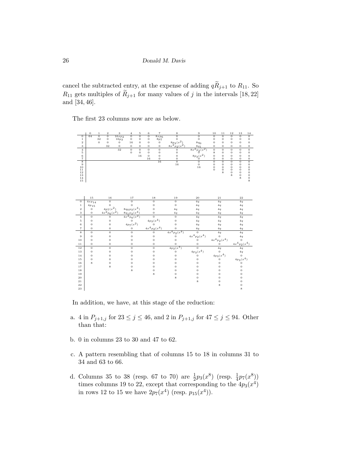cancel the subtracted entry, at the expense of adding  $q\widetilde{R}_{j+1}$  to  $R_{11}$ . So  $R_{11}$  gets multiples of  $\widetilde{R}_{j+1}$  for many values of j in the intervals [18, 22] and [34, 46].

The first 23 columns now are as below.



In addition, we have, at this stage of the reduction:

- a. 4 in  $P_{j+1,j}$  for  $23 \le j \le 46$ , and 2 in  $P_{j+1,j}$  for  $47 \le j \le 94$ . Other than that:
- b. 0 in columns 23 to 30 and 47 to 62.
- c. A pattern resembling that of columns 15 to 18 in columns 31 to 34 and 63 to 66.
- d. Columns 35 to 38 (resp. 67 to 70) are  $\frac{1}{2}p_3(x^8)$  (resp.  $\frac{1}{4}p_7(x^8)$ ) times columns 19 to 22, except that corresponding to the  $4p_3(x^4)$ in rows 12 to 15 we have  $2p_7(x^4)$  (resp.  $p_{15}(x^4)$ ).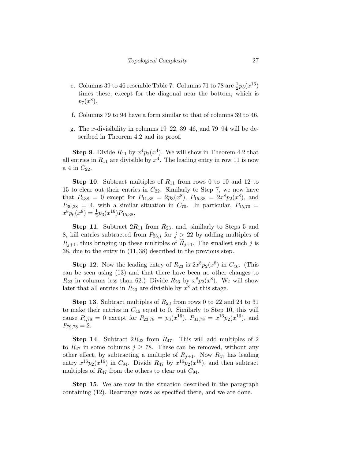- e. Columns 39 to 46 resemble Table 7. Columns 71 to 78 are  $\frac{1}{2}p_3(x^{16})$ times these, except for the diagonal near the bottom, which is  $p_7(x^8)$ .
- f. Columns 79 to 94 have a form similar to that of columns 39 to 46.
- g. The x-divisibility in columns 19–22, 39–46, and 79–94 will be described in Theorem 4.2 and its proof.

**Step 9**. Divide  $R_{11}$  by  $x^4 p_2(x^4)$ . We will show in Theorem 4.2 that all entries in  $R_{11}$  are divisible by  $x^4$ . The leading entry in row 11 is now a 4 in  $C_{22}$ .

**Step 10.** Subtract multiples of  $R_{11}$  from rows 0 to 10 and 12 to 15 to clear out their entries in  $C_{22}$ . Similarly to Step 7, we now have that  $P_{i,38} = 0$  except for  $P_{11,38} = 2p_3(x^8)$ ,  $P_{15,38} = 2x^8p_2(x^8)$ , and  $P_{39,38} = 4$ , with a similar situation in  $C_{70}$ . In particular,  $P_{15,70} =$  $x^8 p_6(x^8) = \frac{1}{2} p_3(x^{16}) P_{15,38}.$ 

**Step 11.** Subtract  $2R_{11}$  from  $R_{23}$ , and, similarly to Steps 5 and 8, kill entries subtracted from  $P_{23,j}$  for  $j > 22$  by adding multiples of  $R_{i+1}$ , thus bringing up these multiples of  $R_{i+1}$ . The smallest such j is 38, due to the entry in (11, 38) described in the previous step.

**Step 12**. Now the leading entry of  $R_{23}$  is  $2x^8p_2(x^8)$  in  $C_{46}$ . (This can be seen using (13) and that there have been no other changes to  $R_{23}$  in columns less than 62.) Divide  $R_{23}$  by  $x^8 p_2(x^8)$ . We will show later that all entries in  $R_{23}$  are divisible by  $x^8$  at this stage.

**Step 13.** Subtract multiples of  $R_{23}$  from rows 0 to 22 and 24 to 31 to make their entries in  $C_{46}$  equal to 0. Similarly to Step 10, this will cause  $P_{i,78} = 0$  except for  $P_{23,78} = p_3(x^{16})$ ,  $P_{31,78} = x^{16}p_2(x^{16})$ , and  $P_{79,78} = 2.$ 

**Step 14.** Subtract  $2R_{23}$  from  $R_{47}$ . This will add multiples of 2 to  $R_{47}$  in some columns  $j \geq 78$ . These can be removed, without any other effect, by subtracting a multiple of  $R_{j+1}$ . Now  $R_{47}$  has leading entry  $x^{16}p_2(x^{16})$  in  $C_{94}$ . Divide  $R_{47}$  by  $x^{16}p_2(x^{16})$ , and then subtract multiples of  $R_{47}$  from the others to clear out  $C_{94}$ .

Step 15. We are now in the situation described in the paragraph containing (12). Rearrange rows as specified there, and we are done.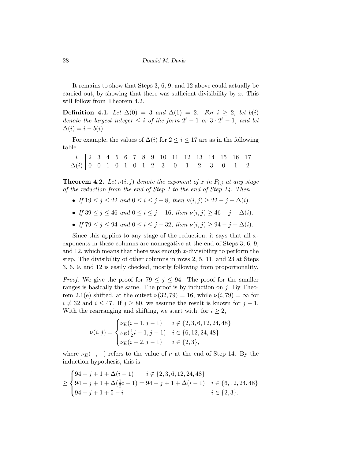It remains to show that Steps 3, 6, 9, and 12 above could actually be carried out, by showing that there was sufficient divisibility by  $x$ . This will follow from Theorem 4.2.

Definition 4.1. Let  $\Delta(0) = 3$  and  $\Delta(1) = 2$ . For  $i \geq 2$ , let  $b(i)$ denote the largest integer  $\leq i$  of the form  $2^t - 1$  or  $3 \cdot 2^t - 1$ , and let  $\Delta(i) = i - b(i).$ 

For example, the values of  $\Delta(i)$  for  $2 \leq i \leq 17$  are as in the following table.

| <i>i</i>   2 3 4 5 6 7 8 9 10 11 12 13 14 15 16 17 |  |  |  |  |  |  |  |  |
|----------------------------------------------------|--|--|--|--|--|--|--|--|
| $\Delta(i)$   0 0 1 0 1 0 1 2 3 0 1 2 3 0 1 2      |  |  |  |  |  |  |  |  |

**Theorem 4.2.** Let  $\nu(i, j)$  denote the exponent of x in  $P_{i,j}$  at any stage of the reduction from the end of Step 1 to the end of Step 14. Then

- If  $19 \le j \le 22$  and  $0 \le i \le j 8$ , then  $\nu(i, j) \ge 22 j + \Delta(i)$ .
- If  $39 \le j \le 46$  and  $0 \le i \le j 16$ , then  $\nu(i, j) \ge 46 j + \Delta(i)$ .
- If  $79 \leq j \leq 94$  and  $0 \leq i \leq j-32$ , then  $\nu(i, j) \geq 94 j + \Delta(i)$ .

Since this applies to any stage of the reduction, it says that all  $x$ exponents in these columns are nonnegative at the end of Steps 3, 6, 9, and 12, which means that there was enough  $x$ -divisibility to perform the step. The divisibility of other columns in rows 2, 5, 11, and 23 at Steps 3, 6, 9, and 12 is easily checked, mostly following from proportionality.

*Proof.* We give the proof for  $79 \leq j \leq 94$ . The proof for the smaller ranges is basically the same. The proof is by induction on  $j$ . By Theorem 2.1(e) shifted, at the outset  $\nu(32, 79) = 16$ , while  $\nu(i, 79) = \infty$  for  $i \neq 32$  and  $i \leq 47$ . If  $j \geq 80$ , we assume the result is known for  $j - 1$ . With the rearranging and shifting, we start with, for  $i \geq 2$ ,

$$
\nu(i,j) = \begin{cases} \nu_E(i-1,j-1) & i \notin \{2,3,6,12,24,48\} \\ \nu_E(\frac{1}{2}i-1,j-1) & i \in \{6,12,24,48\} \\ \nu_E(i-2,j-1) & i \in \{2,3\}, \end{cases}
$$

where  $\nu_E(-,-)$  refers to the value of  $\nu$  at the end of Step 14. By the induction hypothesis, this is

$$
\geq \begin{cases} 94 - j + 1 + \Delta(i - 1) & i \notin \{2, 3, 6, 12, 24, 48\} \\ 94 - j + 1 + \Delta(\frac{1}{2}i - 1) = 94 - j + 1 + \Delta(i - 1) & i \in \{6, 12, 24, 48\} \\ 94 - j + 1 + 5 - i & i \in \{2, 3\}. \end{cases}
$$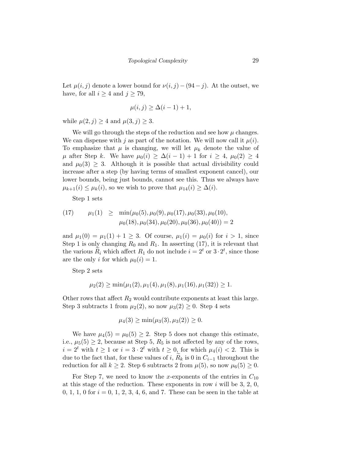Let  $\mu(i, j)$  denote a lower bound for  $\nu(i, j) - (94 - j)$ . At the outset, we have, for all  $i \geq 4$  and  $j \geq 79$ ,

$$
\mu(i,j) \ge \Delta(i-1) + 1,
$$

while  $\mu(2, j) \geq 4$  and  $\mu(3, j) \geq 3$ .

We will go through the steps of the reduction and see how  $\mu$  changes. We can dispense with j as part of the notation. We will now call it  $\mu(i)$ . To emphasize that  $\mu$  is changing, we will let  $\mu_k$  denote the value of  $\mu$  after Step k. We have  $\mu_0(i) \geq \Delta(i-1) + 1$  for  $i \geq 4$ ,  $\mu_0(2) \geq 4$ and  $\mu_0(3) \geq 3$ . Although it is possible that actual divisibility could increase after a step (by having terms of smallest exponent cancel), our lower bounds, being just bounds, cannot see this. Thus we always have  $\mu_{k+1}(i) \leq \mu_k(i)$ , so we wish to prove that  $\mu_{14}(i) \geq \Delta(i)$ .

Step 1 sets

(17) 
$$
\mu_1(1) \ge \min(\mu_0(5), \mu_0(9), \mu_0(17), \mu_0(33), \mu_0(10),
$$
  
 $\mu_0(18), \mu_0(34), \mu_0(20), \mu_0(36), \mu_0(40)) = 2$ 

and  $\mu_1(0) = \mu_1(1) + 1 \geq 3$ . Of course,  $\mu_1(i) = \mu_0(i)$  for  $i > 1$ , since Step 1 is only changing  $R_0$  and  $R_1$ . In asserting (17), it is relevant that the various  $\widetilde{R}_i$  which affect  $R_1$  do not include  $i = 2^t$  or  $3 \cdot 2^t$ , since those are the only i for which  $\mu_0(i) = 1$ .

Step 2 sets

$$
\mu_2(2) \ge \min(\mu_1(2), \mu_1(4), \mu_1(8), \mu_1(16), \mu_1(32)) \ge 1.
$$

Other rows that affect  $R_2$  would contribute exponents at least this large. Step 3 subtracts 1 from  $\mu_2(2)$ , so now  $\mu_3(2) \geq 0$ . Step 4 sets

$$
\mu_4(3) \ge \min(\mu_3(3), \mu_3(2)) \ge 0.
$$

We have  $\mu_4(5) = \mu_0(5) \geq 2$ . Step 5 does not change this estimate, i.e.,  $\mu_5(5) \geq 2$ , because at Step 5,  $R_5$  is not affected by any of the rows,  $i = 2^t$  with  $t \ge 1$  or  $i = 3 \cdot 2^t$  with  $t \ge 0$ , for which  $\mu_4(i) < 2$ . This is due to the fact that, for these values of i,  $R_k$  is 0 in  $C_{i-1}$  throughout the reduction for all  $k \geq 2$ . Step 6 subtracts 2 from  $\mu(5)$ , so now  $\mu_6(5) \geq 0$ .

For Step 7, we need to know the x-exponents of the entries in  $C_{10}$ at this stage of the reduction. These exponents in row  $i$  will be 3, 2, 0, 0, 1, 1, 0 for  $i = 0, 1, 2, 3, 4, 6$ , and 7. These can be seen in the table at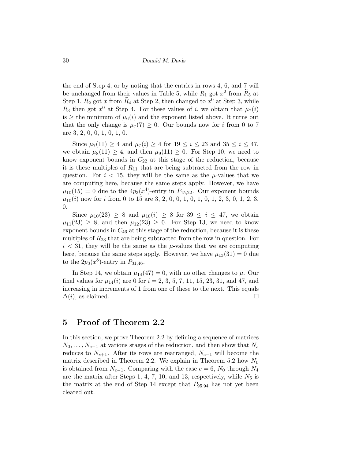the end of Step 4, or by noting that the entries in rows 4, 6, and 7 will be unchanged from their values in Table 5, while  $R_1$  got  $x^2$  from  $\widetilde{R}_5$  at Step 1,  $R_2$  got x from  $\widetilde{R}_4$  at Step 2, then changed to  $x^0$  at Step 3, while  $R_3$  then got  $x^0$  at Step 4. For these values of i, we obtain that  $\mu_7(i)$ is  $\geq$  the minimum of  $\mu_6(i)$  and the exponent listed above. It turns out that the only change is  $\mu_7(7) \geq 0$ . Our bounds now for i from 0 to 7 are 3, 2, 0, 0, 1, 0, 1, 0.

Since  $\mu_7(11) \geq 4$  and  $\mu_7(i) \geq 4$  for  $19 \leq i \leq 23$  and  $35 \leq i \leq 47$ , we obtain  $\mu_8(11) \geq 4$ , and then  $\mu_9(11) \geq 0$ . For Step 10, we need to know exponent bounds in  $C_{22}$  at this stage of the reduction, because it is these multiples of  $R_{11}$  that are being subtracted from the row in question. For  $i < 15$ , they will be the same as the  $\mu$ -values that we are computing here, because the same steps apply. However, we have  $\mu_{10}(15) = 0$  due to the  $4p_3(x^4)$ -entry in  $P_{15,22}$ . Our exponent bounds  $\mu_{10}(i)$  now for i from 0 to 15 are 3, 2, 0, 0, 1, 0, 1, 0, 1, 2, 3, 0, 1, 2, 3, 0.

Since  $\mu_{10}(23) \geq 8$  and  $\mu_{10}(i) \geq 8$  for  $39 \leq i \leq 47$ , we obtain  $\mu_{11}(23) \geq 8$ , and then  $\mu_{12}(23) \geq 0$ . For Step 13, we need to know exponent bounds in  $C_{46}$  at this stage of the reduction, because it is these multiples of  $R_{23}$  that are being subtracted from the row in question. For  $i < 31$ , they will be the same as the  $\mu$ -values that we are computing here, because the same steps apply. However, we have  $\mu_{13}(31) = 0$  due to the  $2p_3(x^8)$ -entry in  $P_{31,46}$ .

In Step 14, we obtain  $\mu_{14}(47) = 0$ , with no other changes to  $\mu$ . Our final values for  $\mu_{14}(i)$  are 0 for  $i = 2, 3, 5, 7, 11, 15, 23, 31,$  and 47, and increasing in increments of 1 from one of these to the next. This equals  $\Delta(i)$ , as claimed.

#### 5 Proof of Theorem 2.2

In this section, we prove Theorem 2.2 by defining a sequence of matrices  $N_0, \ldots, N_{e-1}$  at various stages of the reduction, and then show that  $N_s$ reduces to  $N_{s+1}$ . After its rows are rearranged,  $N_{e-1}$  will become the matrix described in Theorem 2.2. We explain in Theorem 5.2 how  $N_0$ is obtained from  $N_{e-1}$ . Comparing with the case  $e = 6$ ,  $N_0$  through  $N_4$ are the matrix after Steps 1, 4, 7, 10, and 13, respectively, while  $N_5$  is the matrix at the end of Step 14 except that  $P_{95,94}$  has not yet been cleared out.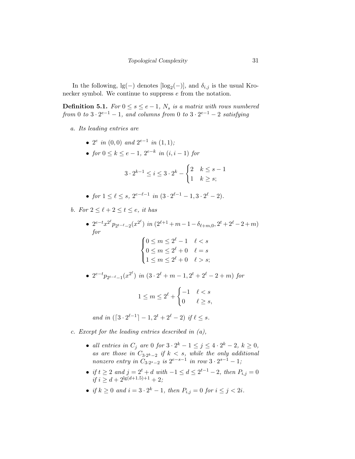In the following,  $\lg(-)$  denotes  $[\log_2(-)]$ , and  $\delta_{i,j}$  is the usual Kronecker symbol. We continue to suppress e from the notation.

**Definition 5.1.** For  $0 \leq s \leq e-1$ ,  $N_s$  is a matrix with rows numbered from 0 to  $3 \cdot 2^{e-1} - 1$ , and columns from 0 to  $3 \cdot 2^{e-1} - 2$  satisfying

- a. Its leading entries are
	- $2^e$  in  $(0,0)$  and  $2^{e-1}$  in  $(1,1)$ ;
	- for  $0 \le k \le e-1$ ,  $2^{e-k}$  in  $(i, i-1)$  for

$$
3 \cdot 2^{k-1} \le i \le 3 \cdot 2^k - \begin{cases} 2 & k \le s - 1 \\ 1 & k \ge s; \end{cases}
$$

• for 
$$
1 \le \ell \le s
$$
,  $2^{e-\ell-1}$  in  $(3 \cdot 2^{\ell-1} - 1, 3 \cdot 2^{\ell} - 2)$ .

b. For  $2 \leq \ell + 2 \leq t \leq e$ , it has

- $2^{e-t}x^{2^{\ell}}p_{2^{t-\ell}-2}(x^{2^{\ell}})$  in  $(2^{\ell+1}+m-1-\delta_{\ell+m,0}, 2^{t}+2^{\ell}-2+m)$ for  $\sqrt{ }$  $\int$  $\overline{\mathcal{L}}$  $0 \leq m \leq 2^{\ell} - 1 \quad \ell < s$  $0 \leq m \leq 2^{\ell} + 0 \quad \ell = s$  $1 \leq m \leq 2^{\ell} + 0 \quad \ell > s;$
- $2^{e-t}p_{2^{t-\ell}-1}(x^{2^{\ell}})$  in  $(3 \cdot 2^{\ell} + m 1, 2^{t} + 2^{\ell} 2 + m)$  for

$$
1 \le m \le 2^{\ell} + \begin{cases} -1 & \ell < s \\ 0 & \ell \ge s, \end{cases}
$$

and in  $([3 \cdot 2^{\ell-1}] - 1, 2^t + 2^{\ell} - 2)$  if  $\ell \leq s$ .

- c. Except for the leading entries described in (a),
	- all entries in  $C_j$  are 0 for  $3 \cdot 2^k 1 \le j \le 4 \cdot 2^k 2$ ,  $k \ge 0$ , as are those in  $C_{3 \cdot 2^k-2}$  if  $k < s$ , while the only additional nonzero entry in  $C_{3 \cdot 2^{s-2}}$  is  $2^{e-s-1}$  in row  $3 \cdot 2^{s-1} - 1$ ;
	- if  $t \geq 2$  and  $j = 2^t + d$  with  $-1 \leq d \leq 2^{t-1} 2$ , then  $P_{i,j} = 0$ if  $i \geq d + 2^{\lg(d+1.5)+1} + 2;$
	- if  $k \ge 0$  and  $i = 3 \cdot 2^k 1$ , then  $P_{i,j} = 0$  for  $i \le j < 2i$ .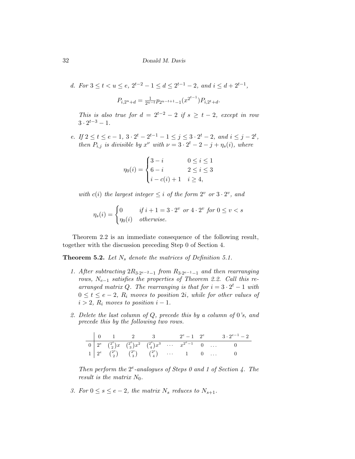d. For 
$$
3 \le t < u \le e
$$
,  $2^{t-2} - 1 \le d \le 2^{t-1} - 2$ , and  $i \le d + 2^{t-1}$ ,  

$$
P_{i,2^u+d} = \frac{1}{2^{u-t}} p_{2^{u-t+1}-1}(x^{2^{t-1}}) P_{i,2^t+d}.
$$

This is also true for  $d = 2^{t-2} - 2$  if  $s \ge t - 2$ , except in row  $3 \cdot 2^{t-3} - 1$ .

e. If  $2 \le t \le e-1$ ,  $3 \cdot 2^t - 2^{t-1} - 1 \le j \le 3 \cdot 2^t - 2$ , and  $i \le j - 2^t$ , then  $P_{i,j}$  is divisible by  $x^{\nu}$  with  $\nu = 3 \cdot 2^{t} - 2 - j + \eta_s(i)$ , where

$$
\eta_0(i) = \begin{cases} 3 - i & 0 \le i \le 1 \\ 6 - i & 2 \le i \le 3 \\ i - c(i) + 1 & i \ge 4, \end{cases}
$$

with  $c(i)$  the largest integer  $\leq i$  of the form  $2^{v}$  or  $3 \cdot 2^{v}$ , and

$$
\eta_s(i) = \begin{cases} 0 & \text{if } i+1 = 3 \cdot 2^v \text{ or } 4 \cdot 2^v \text{ for } 0 \le v < s \\ \eta_0(i) & \text{otherwise.} \end{cases}
$$

Theorem 2.2 is an immediate consequence of the following result, together with the discussion preceding Step 0 of Section 4.

**Theorem 5.2.** Let  $N_s$  denote the matrices of Definition 5.1.

- 1. After subtracting  $2R_{3\cdot2^{e-2}-1}$  from  $R_{3\cdot2^{e-1}-1}$  and then rearranging rows,  $N_{e-1}$  satisfies the properties of Theorem 2.2. Call this rearranged matrix Q. The rearranging is that for  $i = 3 \cdot 2^{t} - 1$  with  $0 \leq t \leq e-2$ ,  $R_i$  moves to position 2*i*, while for other values of  $i > 2$ ,  $R_i$  moves to position  $i - 1$ .
- 2. Delete the last column of Q, precede this by a column of 0's, and precede this by the following two rows.

|  |  |  |  | $\begin{array}{ccccccccc}\n & 0 & 1 & 2 & 3 & 2^e-1 & 2^e & 3 \cdot 2^{e-1}-2\n\end{array}$                                                                                                                                                         |
|--|--|--|--|-----------------------------------------------------------------------------------------------------------------------------------------------------------------------------------------------------------------------------------------------------|
|  |  |  |  |                                                                                                                                                                                                                                                     |
|  |  |  |  | $\begin{array}{c ccccccccc} \hline 0 & 2^e & \binom{2^e}{2}x & \binom{2^e}{3}x^2 & \binom{2^e}{4}x^3 & \cdots & x^{2^e-1} & 0 & \cdots & 0 \\ 1 & 2^e & \binom{2^e}{2} & \binom{2^e}{3} & \binom{2^e}{4} & \cdots & 1 & 0 & \cdots & 0 \end{array}$ |

Then perform the  $2^e$ -analogues of Steps 0 and 1 of Section 4. The result is the matrix  $N_0$ .

3. For  $0 \le s \le e-2$ , the matrix  $N_s$  reduces to  $N_{s+1}$ .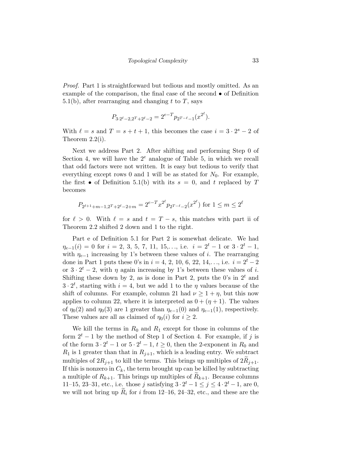Proof. Part 1 is straightforward but tedious and mostly omitted. As an example of the comparison, the final case of the second • of Definition 5.1(b), after rearranging and changing t to T, says

$$
P_{3\cdot 2^\ell-2,2^T+2^\ell-2}=2^{e-T}p_{2^{T-\ell}-1}(x^{2^\ell}).
$$

With  $\ell = s$  and  $T = s + t + 1$ , this becomes the case  $i = 3 \cdot 2^s - 2$  of Theorem 2.2(i).

Next we address Part 2. After shifting and performing Step 0 of Section 4, we will have the  $2^e$  analogue of Table 5, in which we recall that odd factors were not written. It is easy but tedious to verify that everything except rows 0 and 1 will be as stated for  $N_0$ . For example, the first • of Definition 5.1(b) with its  $s = 0$ , and t replaced by T becomes

$$
P_{2^{\ell+1}+m-1,2}r_{2^{\ell-2}+m} = 2^{e-T}x^{2^{\ell}}p_{2^{\ell-2}-2}(x^{2^{\ell}}) \text{ for } 1 \le m \le 2^{\ell}
$$

for  $\ell > 0$ . With  $\ell = s$  and  $t = T - s$ , this matches with part ii of Theorem 2.2 shifted 2 down and 1 to the right.

Part e of Definition 5.1 for Part 2 is somewhat delicate. We had  $\eta_{e-1}(i) = 0$  for  $i = 2, 3, 5, 7, 11, 15,...,$  i.e.  $i = 2^t - 1$  or  $3 \cdot 2^t - 1$ , with  $\eta_{e-1}$  increasing by 1's between these values of *i*. The rearranging done in Part 1 puts these 0's in  $i = 4, 2, 10, 6, 22, 14, \ldots$ , i.e.  $i = 2^t - 2$ or  $3 \cdot 2^t - 2$ , with  $\eta$  again increasing by 1's between these values of i. Shifting these down by 2, as is done in Part 2, puts the 0's in  $2<sup>t</sup>$  and  $3 \cdot 2^t$ , starting with  $i = 4$ , but we add 1 to the  $\eta$  values because of the shift of columns. For example, column 21 had  $\nu \geq 1 + \eta$ , but this now applies to column 22, where it is interpreted as  $0 + (\eta + 1)$ . The values of  $\eta_0(2)$  and  $\eta_0(3)$  are 1 greater than  $\eta_{e-1}(0)$  and  $\eta_{e-1}(1)$ , respectively. These values are all as claimed of  $\eta_0(i)$  for  $i \geq 2$ .

We kill the terms in  $R_0$  and  $R_1$  except for those in columns of the form  $2<sup>t</sup> - 1$  by the method of Step 1 of Section 4. For example, if j is of the form  $3 \cdot 2^t - 1$  or  $5 \cdot 2^t - 1$ ,  $t \ge 0$ , then the 2-exponent in  $R_0$  and  $R_1$  is 1 greater than that in  $R_{j+1}$ , which is a leading entry. We subtract multiples of  $2R_{j+1}$  to kill the terms. This brings up multiples of  $2R_{j+1}$ . If this is nonzero in  $C_k$ , the term brought up can be killed by subtracting a multiple of  $R_{k+1}$ . This brings up multiples of  $R_{k+1}$ . Because columns 11–15, 23–31, etc., i.e. those j satisfying  $3 \cdot 2^{t} - 1 \le j \le 4 \cdot 2^{t} - 1$ , are 0, we will not bring up  $R_i$  for i from 12–16, 24–32, etc., and these are the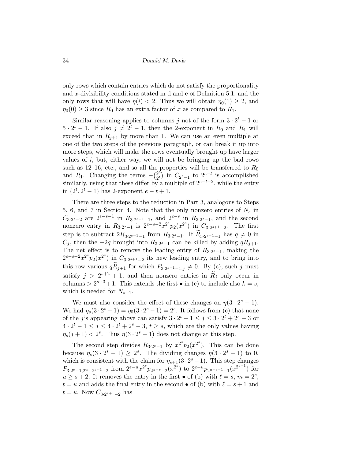only rows which contain entries which do not satisfy the proportionality and x-divisibility conditions stated in d and e of Definition 5.1, and the only rows that will have  $\eta(i) < 2$ . Thus we will obtain  $\eta_0(1) \geq 2$ , and  $\eta_0(0) \geq 3$  since  $R_0$  has an extra factor of x as compared to  $R_1$ .

Similar reasoning applies to columns j not of the form  $3 \cdot 2^t - 1$  or  $5 \cdot 2^t - 1$ . If also  $j \neq 2^t - 1$ , then the 2-exponent in  $R_0$  and  $R_1$  will exceed that in  $R_{j+1}$  by more than 1. We can use an even multiple at one of the two steps of the previous paragraph, or can break it up into more steps, which will make the rows eventually brought up have larger values of  $i$ , but, either way, we will not be bringing up the bad rows such as 12–16, etc., and so all the properties will be transferred to  $R_0$ and  $R_1$ . Changing the terms  $-\binom{2^e}{2^t}$  $\binom{2^e}{2^t}$  is accomplished similarly, using that these differ by a multiple of  $2^{e-t+2}$ , while the entry in  $(2^t, 2^t - 1)$  has 2-exponent  $e - t + 1$ .

There are three steps to the reduction in Part 3, analogous to Steps 5, 6, and 7 in Section 4. Note that the only nonzero entries of  $N_s$  in  $C_{3\cdot 2^{s}-2}$  are  $2^{e-s-1}$  in  $R_{3\cdot 2^{s-1}-1}$ , and  $2^{e-s}$  in  $R_{3\cdot 2^{s}-1}$ , and the second nonzero entry in  $R_{3 \cdot 2^{s}-1}$  is  $2^{e-s-2}x^{2^{s}}p_2(x^{2^{s}})$  in  $C_{3 \cdot 2^{s+1}-2}$ . The first step is to subtract  $2R_{3\cdot2^{s-1}-1}$  from  $R_{3\cdot2^{s}-1}$ . If  $R_{3\cdot2^{s-1}-1}$  has  $q \neq 0$  in  $C_j$ , then the  $-2q$  brought into  $R_{3 \cdot 2^s - 1}$  can be killed by adding  $qR_{j+1}$ . The net effect is to remove the leading entry of  $R_{3 \cdot 2^{s}-1}$ , making the  $2^{e-s-2}x^{2^s}p_2(x^{2^s})$  in  $C_{3\cdot 2^{s+1}-2}$  its new leading entry, and to bring into this row various  $qR_{j+1}$  for which  $P_{3\cdot 2^{s-1}-1,j} \neq 0$ . By  $(c)$ , such j must satisfy  $j > 2^{s+2} + 1$ , and then nonzero entries in  $R_j$  only occur in columns  $> 2^{s+3}+1$ . This extends the first  $\bullet$  in (c) to include also  $k = s$ , which is needed for  $N_{s+1}$ .

We must also consider the effect of these changes on  $\eta(3 \cdot 2^s - 1)$ . We had  $\eta_s(3 \cdot 2^s - 1) = \eta_0(3 \cdot 2^s - 1) = 2^s$ . It follows from (c) that none of the j's appearing above can satisfy  $3 \cdot 2^t - 1 \leq j \leq 3 \cdot 2^t + 2^s - 3$  or  $4 \cdot 2^t - 1 \leq j \leq 4 \cdot 2^t + 2^s - 3, t \geq s$ , which are the only values having  $\eta_s(j+1) < 2^s$ . Thus  $\eta(3 \cdot 2^s - 1)$  does not change at this step.

The second step divides  $R_{3\cdot 2^s-1}$  by  $x^{2^s}p_2(x^{2^s})$ . This can be done because  $\eta_s(3 \cdot 2^s - 1) \geq 2^s$ . The dividing changes  $\eta(3 \cdot 2^s - 1)$  to 0, which is consistent with the claim for  $\eta_{s+1}(3 \cdot 2^s - 1)$ . This step changes  $P_{3\cdot 2^s-1,2^u+2^{s+1}-2}$  from  $2^{e-u}x^{2^s}p_{2^{u-s}-2}(x^{2^s})$  to  $2^{e-u}p_{2^{u-s}-1-1}(x^{2^{s+1}})$  for  $u \geq s + 2$ . It removes the entry in the first  $\bullet$  of (b) with  $\ell = s, m = 2^s$ ,  $t = u$  and adds the final entry in the second  $\bullet$  of (b) with  $\ell = s + 1$  and  $t = u$ . Now  $C_{3 \cdot 2^{s+1}-2}$  has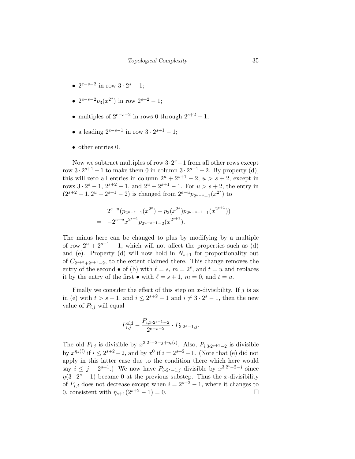- $2^{e-s-2}$  in row  $3 \cdot 2^s 1$ ;
- $2^{e-s-2}p_3(x^{2^s})$  in row  $2^{s+2} 1$ ;
- multiples of  $2^{e-s-2}$  in rows 0 through  $2^{s+2} 1$ ;
- a leading  $2^{e-s-1}$  in row  $3 \cdot 2^{s+1} 1$ ;
- other entries 0.

Now we subtract multiples of row  $3 \cdot 2^{s} - 1$  from all other rows except row  $3 \cdot 2^{s+1} - 1$  to make them 0 in column  $3 \cdot 2^{s+1} - 2$ . By property (d), this will zero all entries in column  $2^u + 2^{s+1} - 2$ ,  $u > s + 2$ , except in rows  $3 \cdot 2^{s} - 1$ ,  $2^{s+2} - 1$ , and  $2^{u} + 2^{s+1} - 1$ . For  $u > s + 2$ , the entry in  $(2^{s+2} - 1, 2^u + 2^{s+1} - 2)$  is changed from  $2^{e-u} p_{2^{u-s}-1}(x^{2^s})$  to

$$
2^{e-u}(p_{2^{u-s}-1}(x^{2^s})-p_3(x^{2^s})p_{2^{u-s-1}-1}(x^{2^{s+1}}))
$$
  
= -2<sup>e-u</sup>x<sup>2<sup>s+1</sup></sup>p<sub>2<sup>u-s-1</sup>-2</sub>(x<sup>2<sup>s+1</sup></sup>).

The minus here can be changed to plus by modifying by a multiple of row  $2^u + 2^{s+1} - 1$ , which will not affect the properties such as (d) and (e). Property (d) will now hold in  $N_{s+1}$  for proportionality out of  $C_{2^{s+3}+2^{s+1}-2}$ , to the extent claimed there. This change removes the entry of the second  $\bullet$  of (b) with  $\ell = s, m = 2^s$ , and  $t = u$  and replaces it by the entry of the first  $\bullet$  with  $\ell = s + 1, m = 0$ , and  $t = u$ .

Finally we consider the effect of this step on x-divisibility. If  $j$  is as in (e) with  $t > s + 1$ , and  $i \leq 2^{s+2} - 1$  and  $i \neq 3 \cdot 2^s - 1$ , then the new value of  $P_{i,j}$  will equal

$$
P_{i,j}^{\text{old}} - \frac{P_{i,3\cdot 2^{s+1}-2}}{2^{e-s-2}} \cdot P_{3\cdot 2^s - 1,j}.
$$

The old  $P_{i,j}$  is divisible by  $x^{3 \cdot 2^t - 2 - j + \eta_s(i)}$ . Also,  $P_{i,3 \cdot 2^{s+1}-2}$  is divisible by  $x^{\eta_s(i)}$  if  $i \leq 2^{s+2} - 2$ , and by  $x^0$  if  $i = 2^{s+2} - 1$ . (Note that (e) did not apply in this latter case due to the condition there which here would say  $i \leq j - 2^{s+1}$ .) We now have  $P_{3 \cdot 2^s - 1, j}$  divisible by  $x^{3 \cdot 2^t - 2 - j}$  since  $\eta(3 \cdot 2^s - 1)$  became 0 at the previous substep. Thus the x-divisibility of  $P_{i,j}$  does not decrease except when  $i = 2^{s+2} - 1$ , where it changes to 0, consistent with  $\eta_{s+1}(2^{s+2} - 1) = 0$ .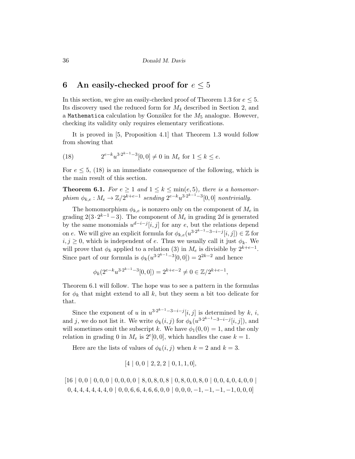# 6 An easily-checked proof for  $e \leq 5$

In this section, we give an easily-checked proof of Theorem 1.3 for  $e \leq 5$ . Its discovery used the reduced form for  $M_4$  described in Section 2, and a Mathematica calculation by González for the  $M_5$  analogue. However, checking its validity only requires elementary verifications.

It is proved in [5, Proposition 4.1] that Theorem 1.3 would follow from showing that

(18) 
$$
2^{e-k}u^{3\cdot 2^{k-1}-3}[0,0] \neq 0 \text{ in } M_e \text{ for } 1 \leq k \leq e.
$$

For  $e \leq 5$ , (18) is an immediate consequence of the following, which is the main result of this section.

**Theorem 6.1.** For  $e \geq 1$  and  $1 \leq k \leq \min(e, 5)$ , there is a homomorphism  $\phi_{k,e}: M_e \to \mathbb{Z}/2^{k+e-1}$  sending  $2^{e-k}u^{3\cdot 2^{k-1}-3}[0,0]$  nontrivially.

The homomorphism  $\phi_{k,e}$  is nonzero only on the component of  $M_e$  in grading  $2(3 \cdot 2^{k-1} - 3)$ . The component of  $M_e$  in grading 2d is generated by the same monomials  $u^{d-i-j}[i,j]$  for any e, but the relations depend on e. We will give an explicit formula for  $\phi_{k,e}(u^{3 \cdot 2^{k-1}-3-i-j}[i,j]) \in \mathbb{Z}$  for  $i, j \geq 0$ , which is independent of e. Thus we usually call it just  $\phi_k$ . We will prove that  $\phi_k$  applied to a relation (3) in  $M_e$  is divisible by  $2^{k+e-1}$ . Since part of our formula is  $\phi_k(u^{3 \cdot 2^{k-1}-3}[0,0]) = 2^{2k-2}$  and hence

$$
\phi_k(2^{e-k}u^{3\cdot 2^{k-1}-3}[0,0]) = 2^{k+e-2} \neq 0 \in \mathbb{Z}/2^{k+e-1}
$$

,

Theorem 6.1 will follow. The hope was to see a pattern in the formulas for  $\phi_k$  that might extend to all k, but they seem a bit too delicate for that.

Since the exponent of u in  $u^{3 \cdot 2^{k-1}-3-i-j}[i,j]$  is determined by k, i, and j, we do not list it. We write  $\phi_k(i,j)$  for  $\phi_k(u^{3 \cdot 2^{k-1}-3-i-j}[i,j])$ , and will sometimes omit the subscript k. We have  $\phi_1(0,0) = 1$ , and the only relation in grading 0 in  $M_e$  is  $2^e[0,0]$ , which handles the case  $k=1$ .

Here are the lists of values of  $\phi_k(i, j)$  when  $k = 2$  and  $k = 3$ .

$$
[4 | 0, 0 | 2, 2, 2 | 0, 1, 1, 0],
$$

 $[16 \mid 0, 0 \mid 0, 0, 0 \mid 0, 0, 0, 0 \mid 8, 0, 8, 0, 8 \mid 0, 8, 0, 0, 8, 0 \mid 0, 0, 4, 0, 4, 0, 0]$  $0, 4, 4, 4, 4, 4, 4, 0 \mid 0, 0, 6, 6, 4, 6, 6, 0, 0 \mid 0, 0, 0, -1, -1, -1, -1, 0, 0, 0]$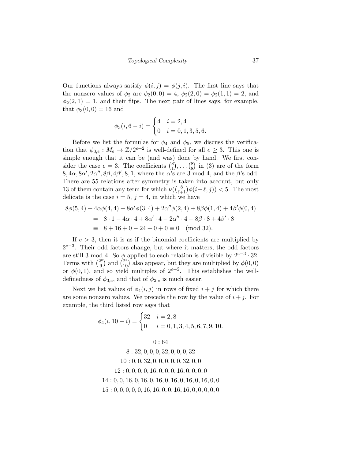Our functions always satisfy  $\phi(i, j) = \phi(j, i)$ . The first line says that the nonzero values of  $\phi_2$  are  $\phi_2(0,0) = 4$ ,  $\phi_2(2,0) = \phi_2(1,1) = 2$ , and  $\phi_2(2,1) = 1$ , and their flips. The next pair of lines says, for example, that  $\phi_3(0,0) = 16$  and

$$
\phi_3(i, 6-i) = \begin{cases} 4 & i = 2, 4 \\ 0 & i = 0, 1, 3, 5, 6. \end{cases}
$$

Before we list the formulas for  $\phi_4$  and  $\phi_5$ , we discuss the verification that  $\phi_{3,e}: M_e \to \mathbb{Z}/2^{e+2}$  is well-defined for all  $e \geq 3$ . This one is simple enough that it can be (and was) done by hand. We first consider the case  $e = 3$ . The coefficients  $\binom{8}{1}$  $\binom{8}{1}, \ldots \binom{8}{8}$  $\binom{8}{8}$  in (3) are of the form  $8, 4\alpha, 8\alpha', 2\alpha'', 8\beta, 4\beta', 8, 1$ , where the  $\alpha$ 's are 3 mod 4, and the  $\beta$ 's odd. There are 55 relations after symmetry is taken into account, but only 13 of them contain any term for which  $\nu((\begin{smallmatrix} 8 \\ \ell+1 \end{smallmatrix}) \phi(i-\ell, j)) < 5$ . The most delicate is the case  $i = 5$ ,  $j = 4$ , in which we have

$$
8\phi(5,4) + 4\alpha\phi(4,4) + 8\alpha'\phi(3,4) + 2\alpha''\phi(2,4) + 8\beta\phi(1,4) + 4\beta'\phi(0,4)
$$
  
= 8 \cdot 1 - 4\alpha \cdot 4 + 8\alpha' \cdot 4 - 2\alpha'' \cdot 4 + 8\beta \cdot 8 + 4\beta' \cdot 8  
= 8 + 16 + 0 - 24 + 0 + 0 = 0 \pmod{32}.

If  $e > 3$ , then it is as if the binomial coefficients are multiplied by  $2^{e-3}$ . Their odd factors change, but where it matters, the odd factors are still 3 mod 4. So  $\phi$  applied to each relation is divisible by  $2^{e-3} \cdot 32$ . Terms with  $\binom{2^e}{9}$  $\binom{2^e}{9}$  and  $\binom{2^e}{10}$  also appear, but they are multiplied by  $\phi(0,0)$ or  $\phi(0,1)$ , and so yield multiples of  $2^{e+2}$ . This establishes the welldefinedness of  $\phi_{3,e}$ , and that of  $\phi_{2,e}$  is much easier.

Next we list values of  $\phi_4(i, j)$  in rows of fixed  $i + j$  for which there are some nonzero values. We precede the row by the value of  $i + j$ . For example, the third listed row says that

$$
\phi_4(i, 10 - i) = \begin{cases} 32 & i = 2, 8 \\ 0 & i = 0, 1, 3, 4, 5, 6, 7, 9, 10. \end{cases}
$$

$$
0:648:32,0,0,0,32,0,0,0,3210:0,0,32,0,0,0,0,32,0,012:0,0,0,0,16,0,0,0,16,0,0,0,014:0,0,16,0,16,0,16,0,16,0,16,0,16,0,015:0,0,0,0,0,16,16,0,0,16,16,0,0,0,0,0
$$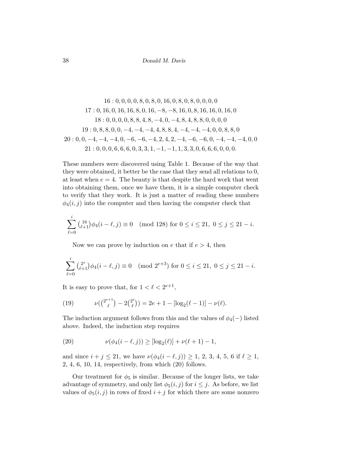$$
16: 0, 0, 0, 0, 8, 0, 8, 0, 16, 0, 8, 0, 8, 0, 0, 0, 0, 0, 0, 17: 0, 16, 0, 16, 16, 8, 0, 16, -8, -8, 16, 0, 8, 16, 16, 0, 16, 0, 18: 0, 0, 0, 0, 8, 8, 4, 8, -4, 0, -4, 8, 4, 8, 8, 0, 0, 0, 0, 0, 19: 0, 8, 8, 0, 0, -4, -4, -4, 4, 8, 8, 4, -4, -4, -4, -4, 0, 0, 8, 8, 0, 20: 0, 0, -4, -4, -4, 0, -6, -6, -4, 2, 4, 2, -4, -6, -6, 0, -4, -4, -4, 0, 0, 21: 0, 0, 0, 6, 6, 6, 0, 3, 3, 1, -1, -1, 1, 3, 3, 0, 6, 6, 6, 0, 0, 0.
$$

These numbers were discovered using Table 1. Because of the way that they were obtained, it better be the case that they send all relations to 0, at least when  $e = 4$ . The beauty is that despite the hard work that went into obtaining them, once we have them, it is a simple computer check to verify that they work. It is just a matter of reading these numbers  $\phi_4(i, j)$  into the computer and then having the computer check that

$$
\sum_{\ell=0}^{i} {16 \choose \ell+1} \phi_4(i-\ell,j) \equiv 0 \pmod{128} \text{ for } 0 \le i \le 21, \ 0 \le j \le 21 - i.
$$

Now we can prove by induction on  $e$  that if  $e > 4$ , then

$$
\sum_{\ell=0}^i {2^e \choose \ell+1} \phi_4(i-\ell,j) \equiv 0 \pmod{2^{e+3}} \text{ for } 0 \le i \le 21, \ 0 \le j \le 21 - i.
$$

It is easy to prove that, for  $1 < \ell < 2^{e+1}$ ,

(19) 
$$
\nu({2^{e+1} \choose \ell} - 2{2^e \choose \ell}) = 2e + 1 - [\log_2(\ell - 1)] - \nu(\ell).
$$

The induction argument follows from this and the values of  $\phi_4(-)$  listed above. Indeed, the induction step requires

(20) 
$$
\nu(\phi_4(i-\ell,j)) \geq [\log_2(\ell)] + \nu(\ell+1) - 1,
$$

and since  $i + j \le 21$ , we have  $\nu(\phi_4(i - \ell, j)) \ge 1, 2, 3, 4, 5, 6$  if  $\ell \ge 1$ , 2, 4, 6, 10, 14, respectively, from which (20) follows.

Our treatment for  $\phi_5$  is similar. Because of the longer lists, we take advantage of symmetry, and only list  $\phi_5(i, j)$  for  $i \leq j$ . As before, we list values of  $\phi_5(i, j)$  in rows of fixed  $i + j$  for which there are some nonzero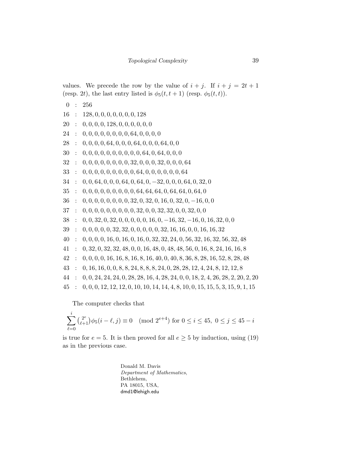values. We precede the row by the value of  $i + j$ . If  $i + j = 2t + 1$ (resp. 2t), the last entry listed is  $\phi_5(t, t+1)$  (resp.  $\phi_5(t, t)$ ).

0 : 256

- 16 : 128, 0, 0, 0, 0, 0, 0, 0, 128
- $20 \div 0, 0, 0, 0, 128, 0, 0, 0, 0, 0, 0$
- $24 : 0, 0, 0, 0, 0, 0, 0, 0, 64, 0, 0, 0, 0$
- $28 : 0, 0, 0, 0, 64, 0, 0, 0, 64, 0, 0, 0, 64, 0, 0$
- $30 \div 0, 0, 0, 0, 0, 0, 0, 0, 0, 0, 64, 0, 64, 0, 0, 0$
- 32 : 0, 0, 0, 0, 0, 0, 0, 0, 32, 0, 0, 0, 32, 0, 0, 0, 64
- 33 : 0, 0, 0, 0, 0, 0, 0, 0, 0, 64, 0, 0, 0, 0, 0, 0, 64
- $34 \div 0, 0, 64, 0, 0, 0, 64, 0, 64, 0, -32, 0, 0, 0, 64, 0, 32, 0$
- $35 : 0, 0, 0, 0, 0, 0, 0, 0, 0, 64, 64, 64, 0, 64, 64, 0, 64, 0$
- $36 \div 0, 0, 0, 0, 0, 0, 0, 0, 32, 0, 32, 0, 16, 0, 32, 0, -16, 0, 0$
- $37 : 0, 0, 0, 0, 0, 0, 0, 0, 0, 32, 0, 0, 32, 32, 0, 0, 32, 0, 0$
- $38 : 0, 0, 32, 0, 32, 0, 0, 0, 0, 0, 16, 0, -16, 32, -16, 0, 16, 32, 0, 0$
- 39 : 0, 0, 0, 0, 0, 32, 32, 0, 0, 0, 0, 0, 32, 16, 16, 0, 0, 16, 16, 32
- 40 : 0, 0, 0, 0, 16, 0, 16, 0, 16, 0, 32, 32, 24, 0, 56, 32, 16, 32, 56, 32, 48
- 41 : 0, 32, 0, 32, 32, 48, 0, 0, 16, 48, 0, 48, 48, 56, 0, 16, 8, 24, 16, 16, 8
- 42 : 0, 0, 0, 0, 16, 16, 8, 16, 8, 16, 40, 0, 40, 8, 36, 8, 28, 16, 52, 8, 28, 48
- 43 : 0, 16, 16, 0, 0, 8, 8, 24, 8, 8, 8, 24, 0, 28, 28, 12, 4, 24, 8, 12, 12, 8
- 44 : 0, 0, 24, 24, 24, 0, 28, 28, 16, 4, 28, 24, 0, 0, 18, 2, 4, 26, 28, 2, 20, 2, 20
- 45 : 0, 0, 0, 12, 12, 12, 0, 10, 10, 14, 14, 4, 8, 10, 0, 15, 15, 5, 3, 15, 9, 1, 15

The computer checks that

$$
\sum_{\ell=0}^{i} {2^e \choose \ell+1} \phi_5(i-\ell,j) \equiv 0 \pmod{2^{e+4}} \text{ for } 0 \le i \le 45, \ 0 \le j \le 45 - i
$$

is true for  $e = 5$ . It is then proved for all  $e \geq 5$  by induction, using (19) as in the previous case.

> Donald M. Davis Department of Mathematics, Bethlehem, PA 18015, USA, dmd1@lehigh.edu